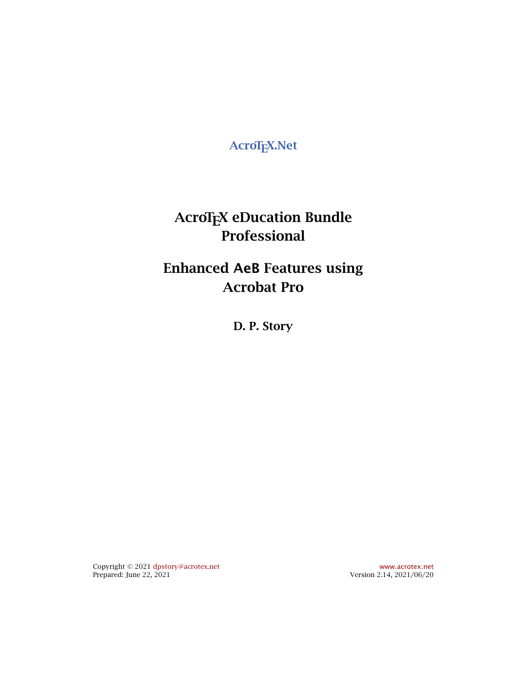<span id="page-0-0"></span>**AcroTEX.Net**

**AcroTEX eDucation Bundle Professional**

**Enhanced AeB Features using Acrobat Pro**

**D. P. Story**

Copyright © 2021 [dpstory@acrotex.net](mailto:dpstory@acrotex.net) <www.acrotex.net>

Version 2.14, 2021/06/20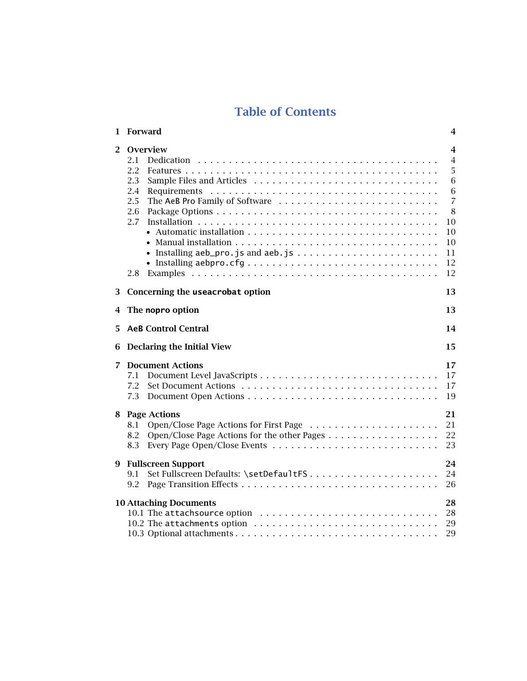# **Table of Contents**

| 1              | Forward                                                                                     | 4                                                                                                 |
|----------------|---------------------------------------------------------------------------------------------|---------------------------------------------------------------------------------------------------|
| $\overline{2}$ | Overview<br>2.1<br>2.2<br>2.3<br>2.4<br>2.5<br>2.6<br>2.7<br>• Installing aebpro.cfg<br>2.8 | 4<br>$\overline{4}$<br>5<br>6<br>6<br>$\overline{7}$<br>8<br>$10\,$<br>10<br>10<br>11<br>12<br>12 |
| 3              | Concerning the useacrobat option                                                            | 13                                                                                                |
| 4              | The nopro option                                                                            | 13                                                                                                |
| 5.             | <b>AeB Control Central</b>                                                                  | 14                                                                                                |
| 6              | Declaring the Initial View                                                                  | 15                                                                                                |
| 7              | <b>Document Actions</b><br>7.1<br>7.2<br>7.3                                                | 17<br>17<br>17<br>19                                                                              |
| 8              | <b>Page Actions</b><br>8.1<br>8.2<br>8.3                                                    | 21<br>21<br>22<br>23                                                                              |
| 9              | <b>Fullscreen Support</b><br>9.1<br>9.2                                                     | 24<br>24<br>26                                                                                    |
|                | <b>10 Attaching Documents</b>                                                               | 28<br>28<br>29<br>29                                                                              |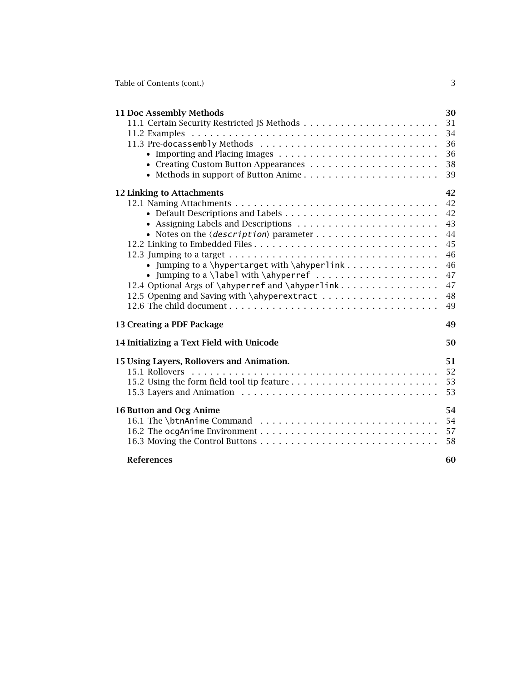Table of Contents (cont.) 3

| 11 Doc Assembly Methods                          | 30 |
|--------------------------------------------------|----|
|                                                  | 31 |
|                                                  | 34 |
|                                                  | 36 |
|                                                  | 36 |
|                                                  | 38 |
| • Methods in support of Button Anime             | 39 |
| 12 Linking to Attachments                        | 42 |
|                                                  | 42 |
|                                                  | 42 |
|                                                  | 43 |
|                                                  | 44 |
|                                                  | 45 |
|                                                  | 46 |
|                                                  | 46 |
|                                                  | 47 |
| 12.4 Optional Args of \ahyperref and \ahyperlink | 47 |
|                                                  | 48 |
|                                                  | 49 |
| 13 Creating a PDF Package                        | 49 |
| 14 Initializing a Text Field with Unicode        | 50 |
| 15 Using Layers, Rollovers and Animation.        | 51 |
|                                                  | 52 |
|                                                  | 53 |
|                                                  | 53 |
| <b>16 Button and Ocg Anime</b>                   | 54 |
|                                                  | 54 |
|                                                  | 57 |
|                                                  | 58 |
| <b>References</b>                                | 60 |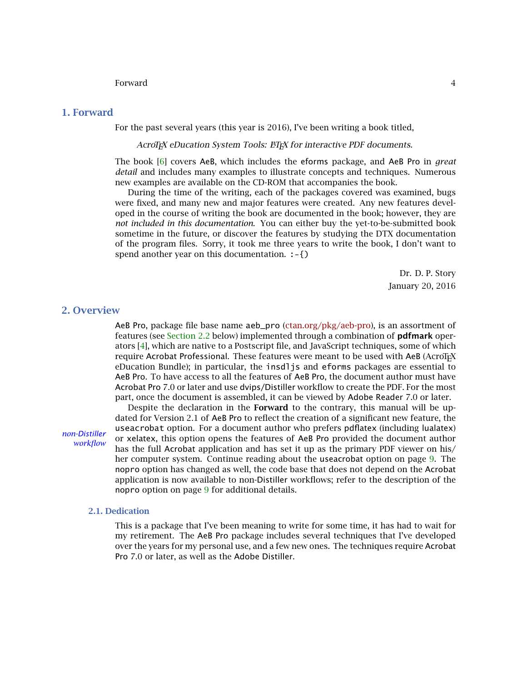#### Forward 4

# <span id="page-3-0"></span>**1. Forward**

For the past several years (this year is 2016), I've been writing a book titled,

AcroT<sub>F</sub>X eDucation System Tools: ET<sub>F</sub>X for interactive PDF documents.

The book [\[6\]](#page-59-0) covers AeB, which includes the eforms package, and AeB Pro in *great detail* and includes many examples to illustrate concepts and techniques. Numerous new examples are available on the CD-ROM that accompanies the book.

During the time of the writing, each of the packages covered was examined, bugs were fixed, and many new and major features were created. Any new features developed in the course of writing the book are documented in the book; however, they are *not included in this documentation*. You can either buy the yet-to-be-submitted book sometime in the future, or discover the features by studying the DTX documentation of the program files. Sorry, it took me three years to write the book, I don't want to spend another year on this documentation. :-{)

> Dr. D. P. Story January 20, 2016

# **2. Overview**

AeB Pro, package file base name aeb\_pro [\(ctan.org/pkg/aeb-pro\)](http://ctan.org/pkg/aeb-pro), is an assortment of features (see [Section 2.2](#page-4-0) below) implemented through a combination of **pdfmark** operators [\[4\]](#page-59-0), which are native to a Postscript file, and JavaScript techniques, some of which require Acrobat Professional. These features were meant to be used with AeB (AcroTEX eDucation Bundle); in particular, the insdljs and eforms packages are essential to AeB Pro. To have access to all the features of AeB Pro, the document author must have Acrobat Pro 7.0 or later and use dvips/Distiller workflow to create the PDF. For the most part, once the document is assembled, it can be viewed by Adobe Reader 7.0 or later.

Despite the declaration in the **Forward** to the contrary, this manual will be updated for Version 2.1 of AeB Pro to reflect the creation of a significant new feature, the useacrobat option. For a document author who prefers pdflatex (including lualatex) non-Distiller<br>workflow or xelatex, this option opens the features of AeB Pro provided the document author<br>*non-Distiller* has the full Acrobat application and has set it up as the primary PDF viewer on his/ her computer system. Continue reading about the useacrobat option on page [9.](#page-7-0) The nopro option has changed as well, the code base that does not depend on the Acrobat application is now available to non-Distiller workflows; refer to the description of the nopro option on page [9](#page-7-0) for additional details.

### **2.1. Dedication**

This is a package that I've been meaning to write for some time, it has had to wait for my retirement. The AeB Pro package includes several techniques that I've developed over the years for my personal use, and a few new ones. The techniques require Acrobat Pro 7.0 or later, as well as the Adobe Distiller.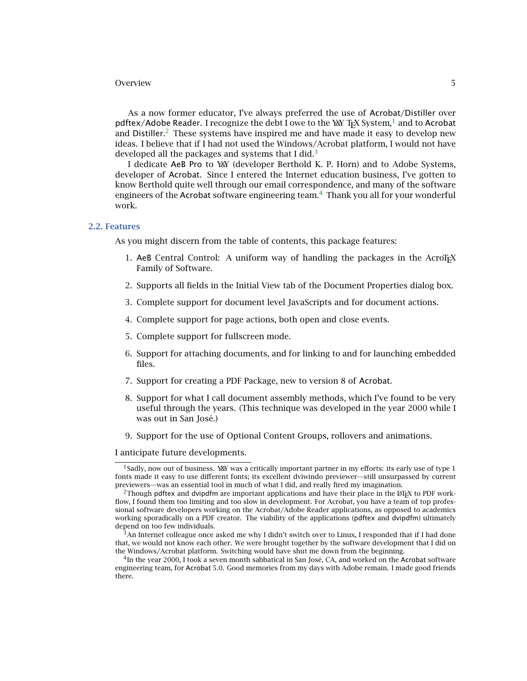<span id="page-4-0"></span>As a now former educator, I've always preferred the use of Acrobat/Distiller over pdftex/Adobe Reader. I recognize the debt I owe to the Year TEX System.<sup>1</sup> and to Acrobat and Distiller.<sup>2</sup> These systems have inspired me and have made it easy to develop new ideas. I believe that if I had not used the Windows/Acrobat platform, I would not have developed all the packages and systems that I did.<sup>3</sup>

I dedicate AeB Pro to Y&Y (developer Berthold K. P. Horn) and to Adobe Systems, developer of Acrobat. Since I entered the Internet education business, I've gotten to know Berthold quite well through our email correspondence, and many of the software engineers of the Acrobat software engineering team.<sup>4</sup> Thank you all for your wonderful work.

#### **2.2. Features**

As you might discern from the table of contents, this package features:

- 1. AeB Central Control: A uniform way of handling the packages in the AcroT<sub>EX</sub> Family of Software.
- 2. Supports all fields in the Initial View tab of the Document Properties dialog box.
- 3. Complete support for document level JavaScripts and for document actions.
- 4. Complete support for page actions, both open and close events.
- 5. Complete support for fullscreen mode.
- 6. Support for attaching documents, and for linking to and for launching embedded files.
- 7. Support for creating a PDF Package, new to version 8 of Acrobat.
- 8. Support for what I call document assembly methods, which I've found to be very useful through the years. (This technique was developed in the year 2000 while I was out in San José.)
- 9. Support for the use of Optional Content Groups, rollovers and animations.

I anticipate future developments.

<sup>&</sup>lt;sup>1</sup>Sadly, now out of business. Y&Y was a critically important partner in my efforts: its early use of type 1 fonts made it easy to use different fonts; its excellent dviwindo previewer—still unsurpassed by current previewers—was an essential tool in much of what I did, and really fired my imagination.

 $2$ Though pdftex and dvipdfm are important applications and have their place in the  $\mathbb{M}$ <sub>TE</sub>X to PDF workflow, I found them too limiting and too slow in development. For Acrobat, you have a team of top professional software developers working on the Acrobat/Adobe Reader applications, as opposed to academics working sporadically on a PDF creator. The viability of the applications (pdftex and dvipdfm) ultimately depend on too few individuals.

 $3$ An Internet colleague once asked me why I didn't switch over to Linux, I responded that if I had done that, we would not know each other. We were brought together by the software development that I did on the Windows/Acrobat platform. Switching would have shut me down from the beginning.

<sup>4</sup>In the year 2000, I took a seven month sabbatical in San José, CA, and worked on the Acrobat software engineering team, for Acrobat 5.0. Good memories from my days with Adobe remain. I made good friends there.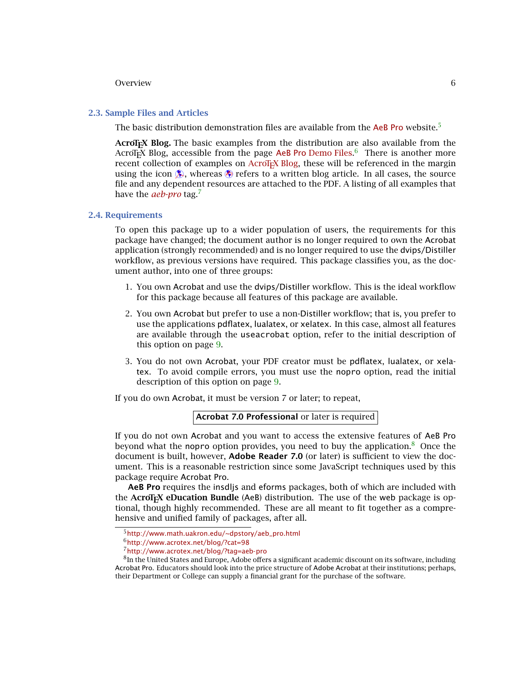#### <span id="page-5-0"></span>**2.3. Sample Files and Articles**

The basic distribution demonstration files are available from the [AeB Pro](http://www.math.uakron.edu/~dpstory/aeb_pro.html) website.<sup>5</sup>

**AcroTEX Blog.** The basic examples from the distribution are also available from the AcroT<sub>E</sub>X Blog, accessible from the page <mark>AeB Pro</mark> [Demo Files.](http://www.acrotex.net/blog/?cat=98)<sup>6</sup> There is another more recent collection of examples on AcroT<sub>EX</sub> Blog, these will be referenced in the margin using the icon  $\Diamond$ , whereas  $\Diamond$  refers to a written blog article. In all cases, the source file and any dependent resources are attached to the PDF. A listing of all examples that have the *[aeb-pro](http://www.acrotex.net/blog/?tag=aeb-pro)* tag.7

#### **2.4. Requirements**

To open this package up to a wider population of users, the requirements for this package have changed; the document author is no longer required to own the Acrobat application (strongly recommended) and is no longer required to use the dvips/Distiller workflow, as previous versions have required. This package classifies you, as the document author, into one of three groups:

- 1. You own Acrobat and use the dvips/Distiller workflow. This is the ideal workflow for this package because all features of this package are available.
- 2. You own Acrobat but prefer to use a non-Distiller workflow; that is, you prefer to use the applications pdflatex, lualatex, or xelatex. In this case, almost all features are available through the useacrobat option, refer to the initial description of this option on page [9.](#page-7-0)
- 3. You do not own Acrobat, your PDF creator must be pdflatex, lualatex, or xelatex. To avoid compile errors, you must use the nopro option, read the initial description of this option on page [9.](#page-7-0)

If you do own Acrobat, it must be version 7 or later; to repeat,

```
Acrobat 7.0 Professional or later is required
```
If you do not own Acrobat and you want to access the extensive features of AeB Pro beyond what the nopro option provides, you need to buy the application. $8$  Once the document is built, however, **Adobe Reader 7.0** (or later) is sufficient to view the document. This is a reasonable restriction since some JavaScript techniques used by this package require Acrobat Pro.

**AeB Pro** requires the insdljs and eforms packages, both of which are included with the **AcroTEX eDucation Bundle** (AeB) distribution. The use of the web package is optional, though highly recommended. These are all meant to fit together as a comprehensive and unified family of packages, after all.

<sup>5</sup>[http://www.math.uakron.edu/~dpstory/aeb\\_pro.html](http://www.math.uakron.edu/~dpstory/aeb_pro.html)

<sup>6</sup><http://www.acrotex.net/blog/?cat=98>

<sup>7</sup><http://www.acrotex.net/blog/?tag=aeb-pro>

<sup>&</sup>lt;sup>8</sup>In the United States and Europe, Adobe offers a significant academic discount on its software, including Acrobat Pro. Educators should look into the price structure of Adobe Acrobat at their institutions; perhaps, their Department or College can supply a financial grant for the purchase of the software.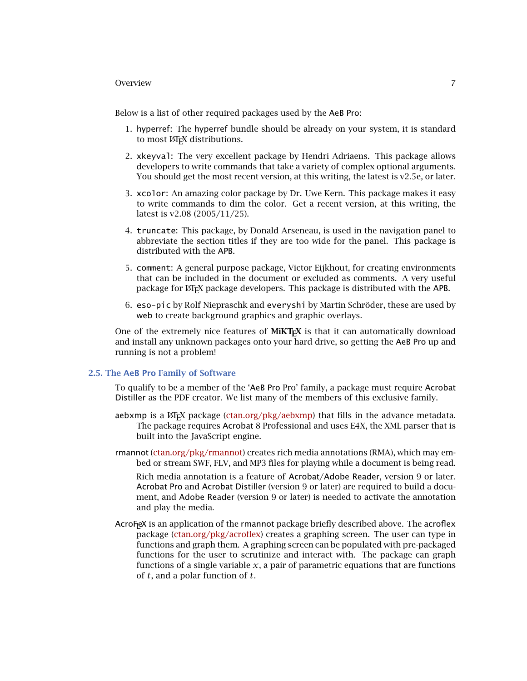<span id="page-6-0"></span>Below is a list of other required packages used by the AeB Pro:

- 1. hyperref: The hyperref bundle should be already on your system, it is standard to most LATEX distributions.
- 2. xkeyval: The very excellent package by Hendri Adriaens. This package allows developers to write commands that take a variety of complex optional arguments. You should get the most recent version, at this writing, the latest is v2.5e, or later.
- 3. xcolor: An amazing color package by Dr. Uwe Kern. This package makes it easy to write commands to dim the color. Get a recent version, at this writing, the latest is v2.08 (2005/11/25).
- 4. truncate: This package, by Donald Arseneau, is used in the navigation panel to abbreviate the section titles if they are too wide for the panel. This package is distributed with the APB.
- 5. comment: A general purpose package, Victor Eijkhout, for creating environments that can be included in the document or excluded as comments. A very useful package for LATEX package developers. This package is distributed with the APB.
- 6. eso-pic by Rolf Niepraschk and everyshi by Martin Schröder, these are used by web to create background graphics and graphic overlays.

One of the extremely nice features of **MiKTEX** is that it can automatically download and install any unknown packages onto your hard drive, so getting the AeB Pro up and running is not a problem!

# **2.5. The AeB Pro Family of Software**

To qualify to be a member of the 'AeB Pro Pro' family, a package must require Acrobat Distiller as the PDF creator. We list many of the members of this exclusive family.

- aebxmp is a  $\text{ETr}X$  package [\(ctan.org/pkg/aebxmp\)](http://ctan.org/pkg/aebxmp) that fills in the advance metadata. The package requires Acrobat 8 Professional and uses E4X, the XML parser that is built into the JavaScript engine.
- rmannot [\(ctan.org/pkg/rmannot\)](http://ctan.org/pkg/rmannot) creates rich media annotations (RMA), which may embed or stream SWF, FLV, and MP3 files for playing while a document is being read.

Rich media annotation is a feature of Acrobat/Adobe Reader, version 9 or later. Acrobat Pro and Acrobat Distiller (version 9 or later) are required to build a document, and Adobe Reader (version 9 or later) is needed to activate the annotation and play the media.

AcroF<sub>l</sub>eX is an application of the rmannot package briefly described above. The <mark>acrofle</mark>x package [\(ctan.org/pkg/acroflex\)](http://ctan.org/pkg/acroflex) creates a graphing screen. The user can type in functions and graph them. A graphing screen can be populated with pre-packaged functions for the user to scrutinize and interact with. The package can graph functions of a single variable  $x$ , a pair of parametric equations that are functions of *t*, and a polar function of *t*.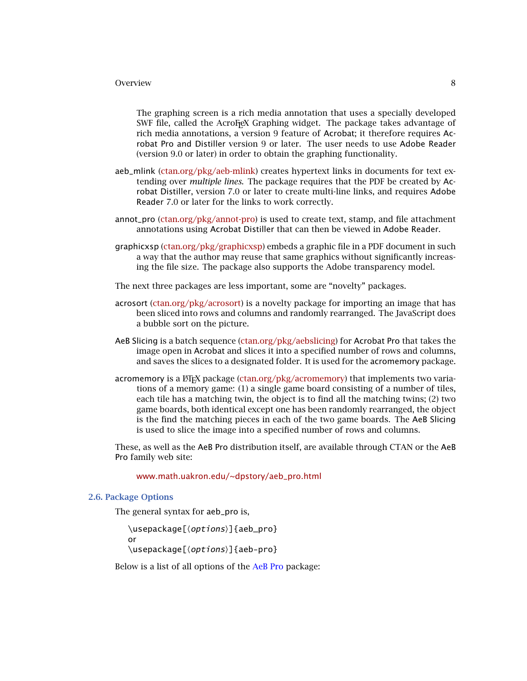<span id="page-7-0"></span>The graphing screen is a rich media annotation that uses a specially developed SWF file, called the AcroFeX Graphing widget. The package takes advantage of rich media annotations, a version 9 feature of Acrobat; it therefore requires Acrobat Pro and Distiller version 9 or later. The user needs to use Adobe Reader (version 9.0 or later) in order to obtain the graphing functionality.

- aeb\_mlink [\(ctan.org/pkg/aeb-mlink\)](http://ctan.org/pkg/aeb-mlink) creates hypertext links in documents for text extending over *multiple lines*. The package requires that the PDF be created by Acrobat Distiller, version 7.0 or later to create multi-line links, and requires Adobe Reader 7.0 or later for the links to work correctly.
- annot\_pro [\(ctan.org/pkg/annot-pro\)](http://ctan.org/pkg/annot-pro) is used to create text, stamp, and file attachment annotations using Acrobat Distiller that can then be viewed in Adobe Reader.
- graphicxsp [\(ctan.org/pkg/graphicxsp\)](http://ctan.org/pkg/graphicxsp) embeds a graphic file in a PDF document in such a way that the author may reuse that same graphics without significantly increasing the file size. The package also supports the Adobe transparency model.
- The next three packages are less important, some are "novelty" packages.
- acrosort [\(ctan.org/pkg/acrosort\)](http://ctan.org/pkg/acrosort) is a novelty package for importing an image that has been sliced into rows and columns and randomly rearranged. The JavaScript does a bubble sort on the picture.
- AeB Slicing is a batch sequence [\(ctan.org/pkg/aebslicing\)](http://ctan.org/pkg/aebslicing) for Acrobat Pro that takes the image open in Acrobat and slices it into a specified number of rows and columns, and saves the slices to a designated folder. It is used for the acromemory package.
- acromemory is a  $\text{EEx}$  package [\(ctan.org/pkg/acromemory\)](http://ctan.org/pkg/acromemory) that implements two variations of a memory game: (1) a single game board consisting of a number of tiles, each tile has a matching twin, the object is to find all the matching twins; (2) two game boards, both identical except one has been randomly rearranged, the object is the find the matching pieces in each of the two game boards. The AeB Slicing is used to slice the image into a specified number of rows and columns.

These, as well as the AeB Pro distribution itself, are available through CTAN or the AeB Pro family web site:

#### [www.math.uakron.edu/~dpstory/aeb\\_pro.html](www.math.uakron.edu/~dpstory/aeb_pro.html)

# **2.6. Package Options**

The general syntax for aeb\_pro is,

\usepackage[ $\langle$ *options*}]{aeb\_pro}

or

\usepackage[ $\langle$ *options*}]{aeb-pro}

Below is a list of all options of the AeB Pro package: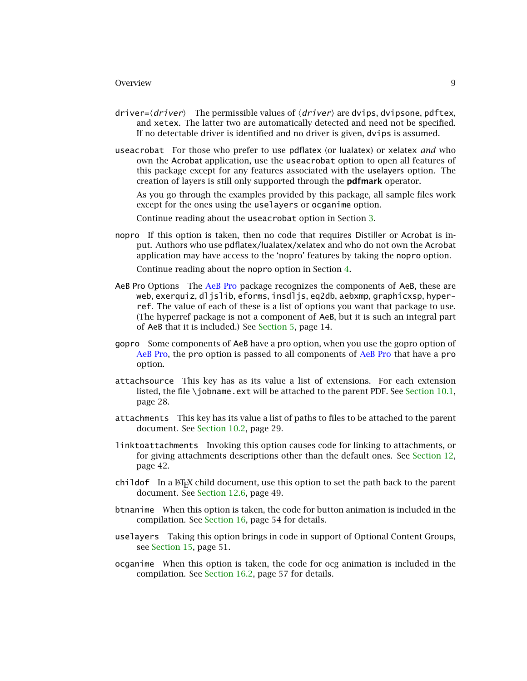- driver= $\langle driver\rangle$  The permissible values of  $\langle driver\rangle$  are dvips, dvipsone, pdftex, and xetex. The latter two are automatically detected and need not be specified. If no detectable driver is identified and no driver is given, dvips is assumed.
- useacrobat For those who prefer to use pdflatex (or lualatex) or xelatex *and* who own the Acrobat application, use the useacrobat option to open all features of this package except for any features associated with the uselayers option. The creation of layers is still only supported through the **pdfmark** operator.

As you go through the examples provided by this package, all sample files work except for the ones using the uselayers or ocganime option.

Continue reading about the useacrobat option in Section [3.](#page-12-0)

nopro If this option is taken, then no code that requires Distiller or Acrobat is input. Authors who use pdflatex/lualatex/xelatex and who do not own the Acrobat application may have access to the 'nopro' features by taking the nopro option.

Continue reading about the nopro option in Section [4.](#page-12-0)

- AeB Pro Options The AeB Pro package recognizes the components of AeB, these are web, exerquiz, dljslib, eforms, insdljs, eq2db, aebxmp, graphicxsp, hyperref. The value of each of these is a list of options you want that package to use. (The hyperref package is not a component of AeB, but it is such an integral part of AeB that it is included.) See [Section 5,](#page-13-0) page 14.
- gopro Some components of AeB have a pro option, when you use the gopro option of AeB Pro, the pro option is passed to all components of AeB Pro that have a pro option.
- attachsource This key has as its value a list of extensions. For each extension listed, the file \jobname.ext will be attached to the parent PDF. See Section  $10.1$ , page 28.
- attachments This key has its value a list of paths to files to be attached to the parent document. See [Section 10.2,](#page-28-0) page 29.
- linktoattachments Invoking this option causes code for linking to attachments, or for giving attachments descriptions other than the default ones. See [Section 12,](#page-41-0) page 42.
- childof In a ET<sub>E</sub>X child document, use this option to set the path back to the parent document. See [Section 12.6,](#page-48-0) page 49.
- btnanime When this option is taken, the code for button animation is included in the compilation. See [Section 16,](#page-53-0) page 54 for details.
- uselayers Taking this option brings in code in support of Optional Content Groups, see [Section 15,](#page-50-0) page 51.
- ocganime When this option is taken, the code for ocg animation is included in the compilation. See [Section 16.2,](#page-56-0) page 57 for details.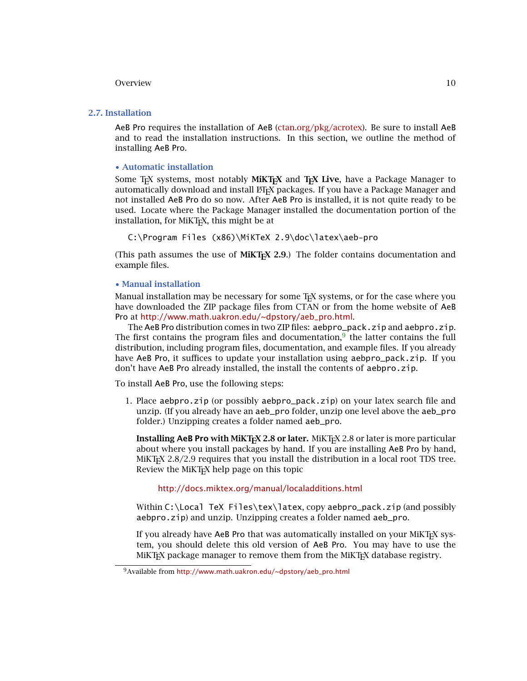# <span id="page-9-0"></span>**2.7. Installation**

AeB Pro requires the installation of AeB [\(ctan.org/pkg/acrotex\)](http://ctan.org/pkg/acrotex). Be sure to install AeB and to read the installation instructions. In this section, we outline the method of installing AeB Pro.

#### • **Automatic installation**

Some TEX systems, most notably **MiKTEX** and **TEX Live**, have a Package Manager to automatically download and install ETEX packages. If you have a Package Manager and not installed AeB Pro do so now. After AeB Pro is installed, it is not quite ready to be used. Locate where the Package Manager installed the documentation portion of the installation, for MiKTEX, this might be at

C:\Program Files (x86)\MiKTeX 2.9\doc\latex\aeb-pro

(This path assumes the use of **MiKTEX 2.9**.) The folder contains documentation and example files.

#### • **Manual installation**

Manual installation may be necessary for some T<sub>E</sub>X systems, or for the case where you have downloaded the ZIP package files from CTAN or from the home website of AeB Pro at [http://www.math.uakron.edu/~dpstory/aeb\\_pro.html](http://www.math.uakron.edu/~dpstory/aeb_pro.html).

The AeB Pro distribution comes in two ZIP files: aebpro\_pack.zip and aebpro.zip. The first contains the program files and documentation, $9$  the latter contains the full distribution, including program files, documentation, and example files. If you already have AeB Pro, it suffices to update your installation using aebpro\_pack.zip. If you don't have AeB Pro already installed, the install the contents of aebpro.zip.

To install AeB Pro, use the following steps:

1. Place aebpro.zip (or possibly aebpro\_pack.zip) on your latex search file and unzip. (If you already have an aeb\_pro folder, unzip one level above the aeb\_pro folder.) Unzipping creates a folder named aeb\_pro.

**Installing AeB Pro with MiKTEX 2.8 or later.** MiKTEX 2.8 or later is more particular about where you install packages by hand. If you are installing AeB Pro by hand, MiKT<sub>E</sub>X 2.8/2.9 requires that you install the distribution in a local root TDS tree. Review the MiKTEX help page on this topic

# <http://docs.miktex.org/manual/localadditions.html>

Within C:\Local TeX Files\tex\latex, copy aebpro\_pack.zip (and possibly aebpro.zip) and unzip. Unzipping creates a folder named aeb\_pro.

If you already have AeB Pro that was automatically installed on your MiKTEX system, you should delete this old version of AeB Pro. You may have to use the MiKT<sub>E</sub>X package manager to remove them from the MiKT<sub>E</sub>X database registry.

<sup>9</sup>Available from [http://www.math.uakron.edu/~dpstory/aeb\\_pro.html](http://www.math.uakron.edu/~dpstory/aeb_pro.html)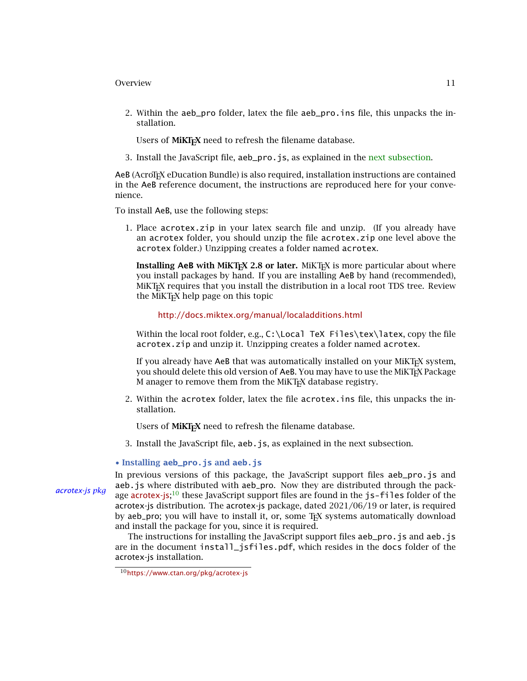- <span id="page-10-0"></span>2. Within the aeb\_pro folder, latex the file aeb\_pro.ins file, this unpacks the installation.
	- Users of MiKT<sub>E</sub>X need to refresh the filename database.
- 3. Install the JavaScript file, aeb pro. is, as explained in the next subsection.

AeB (AcroT<sub>E</sub>X eDucation Bundle) is also required, installation instructions are contained in the AeB reference document, the instructions are reproduced here for your convenience.

To install AeB, use the following steps:

1. Place acrotex.zip in your latex search file and unzip. (If you already have an acrotex folder, you should unzip the file acrotex.zip one level above the acrotex folder.) Unzipping creates a folder named acrotex.

**Installing AeB with MiKT<sub>EX</sub> 2.8 or later.** MiKT<sub>EX</sub> is more particular about where you install packages by hand. If you are installing AeB by hand (recommended), MiKT<sub>F</sub>X requires that you install the distribution in a local root TDS tree. Review the MiKT<sub>E</sub>X help page on this topic

### <http://docs.miktex.org/manual/localadditions.html>

Within the local root folder, e.g.,  $C:\Loca]$  TeX Files\tex\latex, copy the file acrotex.zip and unzip it. Unzipping creates a folder named acrotex.

If you already have AeB that was automatically installed on your MiKTEX system, you should delete this old version of AeB. You may have to use the MiKTEX Package M anager to remove them from the MiKT<sub>E</sub>X database registry.

2. Within the acrotex folder, latex the file acrotex.ins file, this unpacks the installation.

Users of MiKI<sub>F</sub>X need to refresh the filename database.

3. Install the JavaScript file, aeb.js, as explained in the next subsection.

#### • **Installing aeb\_pro.js and aeb.js**

In previous versions of this package, the JavaScript support files aeb\_pro.js and aeb.js where distributed with aeb\_pro. Now they are distributed through the pack[acrotex-js](https://www.ctan.org/pkg/acrotex-js) pkg<br>age acrotex-js;<sup>10</sup> these JavaScript support files are found in the js-files folder of the acrotex-js distribution. The acrotex-js package, dated 2021/06/19 or later, is required by aeb\_pro; you will have to install it, or, some TEX systems automatically download and install the package for you, since it is required.

> The instructions for installing the JavaScript support files aeb\_pro. js and aeb. js are in the document install\_jsfiles.pdf, which resides in the docs folder of the acrotex-js installation.

<sup>10</sup><https://www.ctan.org/pkg/acrotex-js>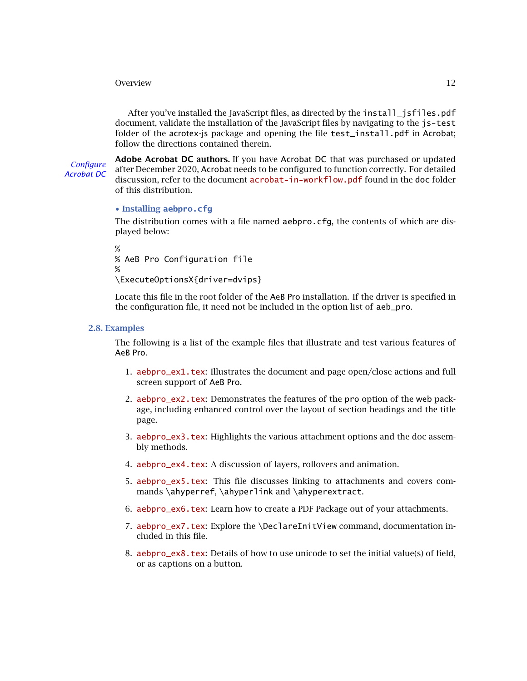<span id="page-11-0"></span>After you've installed the JavaScript files, as directed by the install\_jsfiles.pdf document, validate the installation of the JavaScript files by navigating to the js-test folder of the acrotex-is package and opening the file test install.pdf in Acrobat: follow the directions contained therein.

**Adobe Acrobat DC authors.** If you have Acrobat DC that was purchased or updated For Configure<br>Acrobat December 2020, Acrobat needs to be configured to function correctly. For detailed<br>Acrobat DC discussion, refer to the document [acrobat-in-workflow.pdf](#page-0-0) found in the doc folder of this distribution.

# • **Installing aebpro.cfg**

The distribution comes with a file named aebpro.cfg, the contents of which are displayed below:

```
%
% AeB Pro Configuration file
%
\ExecuteOptionsX{driver=dvips}
```
Locate this file in the root folder of the AeB Pro installation. If the driver is specified in the configuration file, it need not be included in the option list of aeb\_pro.

#### **2.8. Examples**

The following is a list of the example files that illustrate and test various features of AeB Pro.

- 1. [aebpro\\_ex1.tex](http://www.acrotex.net/blog/?p=1237): Illustrates the document and page open/close actions and full screen support of AeB Pro.
- 2. [aebpro\\_ex2.tex](http://www.acrotex.net/blog/?p=1242): Demonstrates the features of the pro option of the web package, including enhanced control over the layout of section headings and the title page.
- 3. [aebpro\\_ex3.tex](http://www.acrotex.net/blog/?p=1245): Highlights the various attachment options and the doc assembly methods.
- 4. aebpro ex4.tex: A discussion of layers, rollovers and animation.
- 5. [aebpro\\_ex5.tex](http://www.acrotex.net/blog/?p=1257): This file discusses linking to attachments and covers commands \ahyperref, \ahyperlink and \ahyperextract.
- 6. [aebpro\\_ex6.tex](http://www.acrotex.net/blog/?p=1263): Learn how to create a PDF Package out of your attachments.
- 7. [aebpro\\_ex7.tex](http://www.acrotex.net/blog/?p=1266): Explore the \DeclareInitView command, documentation included in this file.
- 8. [aebpro\\_ex8.tex](http://www.acrotex.net/blog/?p=1268): Details of how to use unicode to set the initial value(s) of field, or as captions on a button.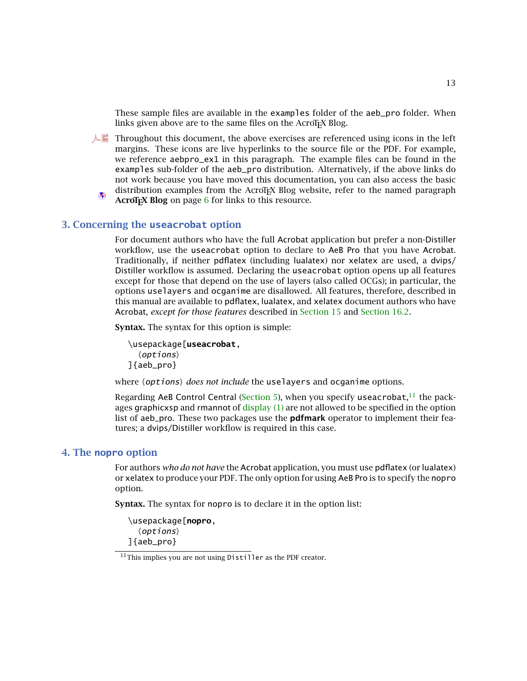13

<span id="page-12-0"></span>These sample files are available in the examples folder of the aeb\_pro folder. When links given above are to the same files on the AcroTEX Blog.

- $\mathbb{A}$  Throughout this document, the above exercises are referenced using icons in the left margins. These icons are live hyperlinks to the source file or the PDF. For example, we reference aebpro\_ex1 in this paragraph. The example files can be found in the examples sub-folder of the aeb\_pro distribution. Alternatively, if the above links do not work because you have moved this documentation, you can also access the basic distribution examples from the AcroT<sub>EX</sub> Blog website, refer to the named paragraph
	- **AcroTEX Blog** on page [6](#page-5-0) for links to this resource.

# **3. Concerning the useacrobat option**

For document authors who have the full Acrobat application but prefer a non-Distiller workflow, use the useacrobat option to declare to AeB Pro that you have Acrobat. Traditionally, if neither pdflatex (including lualatex) nor xelatex are used, a dvips/ Distiller workflow is assumed. Declaring the useacrobat option opens up all features except for those that depend on the use of layers (also called OCGs); in particular, the options uselayers and ocganime are disallowed. All features, therefore, described in this manual are available to pdflatex, lualatex, and xelatex document authors who have Acrobat, *except for those features* described in [Section 15](#page-50-0) and [Section 16.2.](#page-56-0)

**Syntax.** The syntax for this option is simple:

```
\usepackage[useacrobat,
  \langle options\rangle]{aeb_pro}
```
where  $\langle$ *options* $\rangle$  *does not include* the uselayers and ocganime options.

Regarding AeB Control Central [\(Section 5\)](#page-13-0), when you specify useacrobat,<sup>11</sup> the packages graphicxsp and rmannot of  $\frac{display}{1}$  are not allowed to be specified in the option list of aeb\_pro. These two packages use the **pdfmark** operator to implement their features; a dvips/Distiller workflow is required in this case.

# **4. The nopro option**

For authors *who do not have* the Acrobat application, you must use pdflatex (or lualatex) or xelatex to produce your PDF. The only option for using AeB Pro is to specify the nopro option.

**Syntax.** The syntax for nopro is to declare it in the option list:

\usepackage[**nopro**,  $\langle$  options $\rangle$ ]{aeb\_pro}

 $11$ This implies you are not using Distiller as the PDF creator.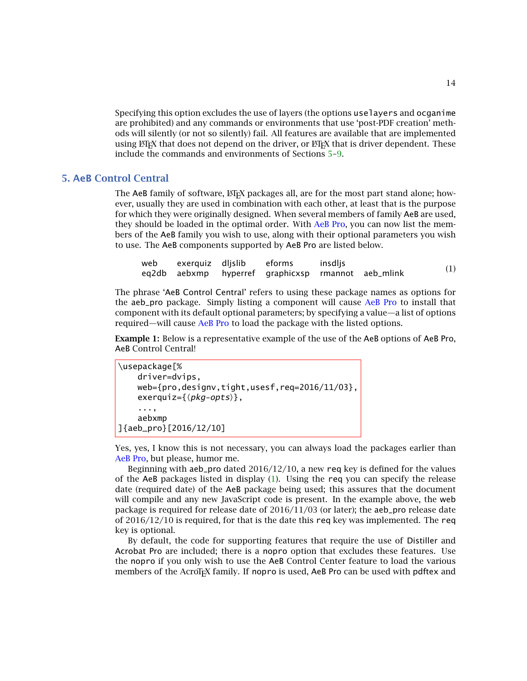14

<span id="page-13-0"></span>Specifying this option excludes the use of layers (the options uselayers and ocganime are prohibited) and any commands or environments that use 'post-PDF creation' methods will silently (or not so silently) fail. All features are available that are implemented using LATEX that does not depend on the driver, or LATEX that is driver dependent. These include the commands and environments of Sections 5[–9.](#page-23-0)

# **5. AeB Control Central**

The  $AeB$  family of software,  $\mathbb{F}E[X]$  packages all, are for the most part stand alone; however, usually they are used in combination with each other, at least that is the purpose for which they were originally designed. When several members of family AeB are used, they should be loaded in the optimal order. With AeB Pro, you can now list the members of the AeB family you wish to use, along with their optional parameters you wish to use. The AeB components supported by AeB Pro are listed below.

| web exerquiz dljslib | eforms                                             | insdlis |     |
|----------------------|----------------------------------------------------|---------|-----|
|                      | eq2db aebxmp hyperref graphicxsp rmannot aeb_mlink |         | (1) |

The phrase 'AeB Control Central' refers to using these package names as options for the aeb\_pro package. Simply listing a component will cause AeB Pro to install that component with its default optional parameters; by specifying a value—a list of options required—will cause AeB Pro to load the package with the listed options.

**Example 1:** Below is a representative example of the use of the AeB options of AeB Pro, AeB Control Central!

```
\usepackage[%
    driver=dvips,
    web={pro,designv,tight,usesf,req=2016/11/03},
     exerquiz=\{\langle \mathit{pkg-opts}\rangle\},...,
    aebxmp
]{aeb_pro}[2016/12/10]
```
Yes, yes, I know this is not necessary, you can always load the packages earlier than AeB Pro, but please, humor me.

Beginning with aeb\_pro dated  $2016/12/10$ , a new req key is defined for the values of the AeB packages listed in display (1). Using the req you can specify the release date (required date) of the AeB package being used; this assures that the document will compile and any new JavaScript code is present. In the example above, the web package is required for release date of  $2016/11/03$  (or later); the aeb\_pro release date of  $2016/12/10$  is required, for that is the date this req key was implemented. The req key is optional.

By default, the code for supporting features that require the use of Distiller and Acrobat Pro are included; there is a nopro option that excludes these features. Use the nopro if you only wish to use the AeB Control Center feature to load the various members of the AcroT<sub>EX</sub> family. If nopro is used, AeB Pro can be used with pdftex and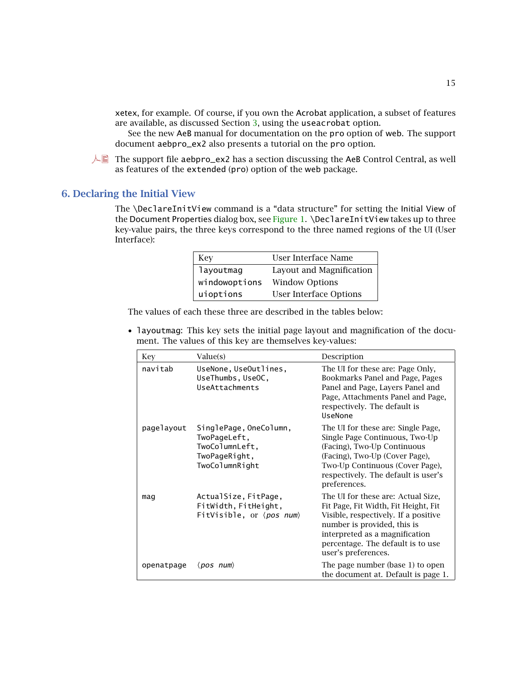<span id="page-14-0"></span>xetex, for example. Of course, if you own the Acrobat application, a subset of features are available, as discussed Section [3,](#page-12-0) using the useacrobat option.

See the new AeB manual for documentation on the pro option of web. The support document aebpro\_ex2 also presents a tutorial on the pro option.

 $\Box$  The support file aebpro\_ex2 has a section discussing the AeB Control Central, as well as features of the extended (pro) option of the web package.

# **6. Declaring the Initial View**

The \DeclareInitView command is a "data structure" for setting the Initial View of the Document Properties dialog box, see [Figure 1.](#page-16-0) \DeclareInitView takes up to three key-value pairs, the three keys correspond to the three named regions of the UI (User Interface):

| Kev           | User Interface Name           |
|---------------|-------------------------------|
| layoutmag     | Layout and Magnification      |
| windowoptions | <b>Window Options</b>         |
| uioptions     | <b>User Interface Options</b> |

The values of each these three are described in the tables below:

• layoutmag: This key sets the initial page layout and magnification of the document. The values of this key are themselves key-values:

| Key        | Value(s)                                                                                    | Description                                                                                                                                                                                                                                     |
|------------|---------------------------------------------------------------------------------------------|-------------------------------------------------------------------------------------------------------------------------------------------------------------------------------------------------------------------------------------------------|
| navitab    | UseNone, UseOutlines,<br>UseThumbs, UseOC,<br>UseAttachments                                | The UI for these are: Page Only,<br>Bookmarks Panel and Page, Pages<br>Panel and Page, Layers Panel and<br>Page, Attachments Panel and Page,<br>respectively. The default is<br>UseNone                                                         |
| pagelayout | SinglePage, OneColumn,<br>TwoPageLeft,<br>TwoColumnLeft,<br>TwoPageRight,<br>TwoColumnRight | The UI for these are: Single Page,<br>Single Page Continuous, Two-Up<br>(Facing), Two-Up Continuous<br>(Facing), Two-Up (Cover Page),<br>Two-Up Continuous (Cover Page),<br>respectively. The default is user's<br>preferences.                 |
| maq        | ActualSize, FitPage,<br>FitWidth, FitHeight,<br>FitVisible, or (pos num)                    | The UI for these are: Actual Size,<br>Fit Page, Fit Width, Fit Height, Fit<br>Visible, respectively. If a positive<br>number is provided, this is<br>interpreted as a magnification<br>percentage. The default is to use<br>user's preferences. |
| openatpage | $\langle pos \ num \rangle$                                                                 | The page number (base 1) to open<br>the document at. Default is page 1.                                                                                                                                                                         |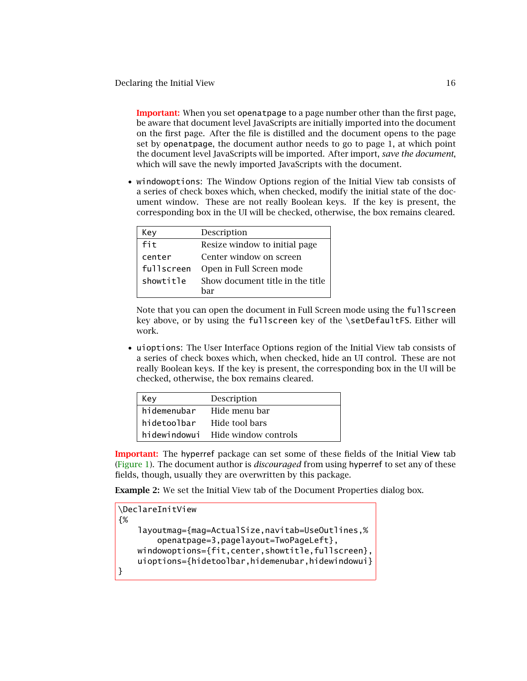Declaring the Initial View 16

**Important:** When you set openatpage to a page number other than the first page, be aware that document level JavaScripts are initially imported into the document on the first page. After the file is distilled and the document opens to the page set by openatpage, the document author needs to go to page 1, at which point the document level JavaScripts will be imported. After import, *save the document*, which will save the newly imported JavaScripts with the document.

• windowoptions: The Window Options region of the Initial View tab consists of a series of check boxes which, when checked, modify the initial state of the document window. These are not really Boolean keys. If the key is present, the corresponding box in the UI will be checked, otherwise, the box remains cleared.

| Key        | Description                      |
|------------|----------------------------------|
| fit        | Resize window to initial page    |
| center     | Center window on screen          |
| fullscreen | Open in Full Screen mode         |
| showtitle  | Show document title in the title |
|            | har                              |

Note that you can open the document in Full Screen mode using the fullscreen key above, or by using the fullscreen key of the \setDefaultFS. Either will work.

• uioptions: The User Interface Options region of the Initial View tab consists of a series of check boxes which, when checked, hide an UI control. These are not really Boolean keys. If the key is present, the corresponding box in the UI will be checked, otherwise, the box remains cleared.

| Key          | Description          |
|--------------|----------------------|
| hidemenubar  | Hide menu bar        |
| hidetoolbar  | Hide tool bars       |
| hidewindowui | Hide window controls |

**Important:** The hyperref package can set some of these fields of the Initial View tab [\(Figure 1\)](#page-16-0). The document author is *discouraged* from using hyperref to set any of these fields, though, usually they are overwritten by this package.

**Example 2:** We set the Initial View tab of the Document Properties dialog box.

```
\DeclareInitView
{%
    layoutmag={mag=ActualSize,navitab=UseOutlines,%
        openatpage=3,pagelayout=TwoPageLeft},
   windowoptions={fit,center,showtitle,fullscreen},
   uioptions={hidetoolbar,hidemenubar,hidewindowui}
}
```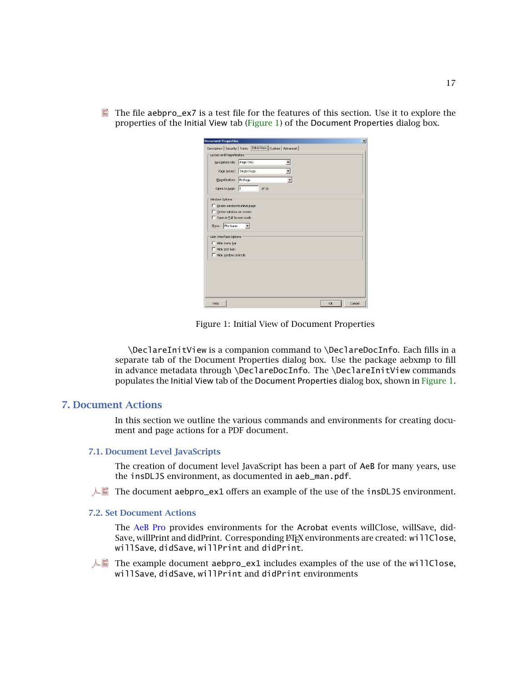<span id="page-16-0"></span> $\blacksquare$  The file aebpro\_ex7 is a test file for the features of this section. Use it to explore the properties of the Initial View tab (Figure 1) of the Document Properties dialog box.

| <b>Document Properties</b><br>Description   Security   Fonts   Initial View   Custom   Advanced |                          |       |  |  |
|-------------------------------------------------------------------------------------------------|--------------------------|-------|--|--|
| Layout and Magnification                                                                        |                          |       |  |  |
| Navigation tab: Page Only                                                                       |                          |       |  |  |
|                                                                                                 |                          |       |  |  |
|                                                                                                 | Page layout: Single Page |       |  |  |
| Magnification: Fit Page                                                                         |                          |       |  |  |
| Open to page:  1                                                                                |                          | of 36 |  |  |
| Window Options                                                                                  |                          |       |  |  |
| Resize window to initial page                                                                   |                          |       |  |  |
| Center window on screen                                                                         |                          |       |  |  |
| Open in Full Screen mode                                                                        |                          |       |  |  |
| Show: File Name                                                                                 |                          |       |  |  |
|                                                                                                 |                          |       |  |  |
| User Interface Options                                                                          |                          |       |  |  |
| Hide menu bar                                                                                   |                          |       |  |  |
| Hide tool bars                                                                                  |                          |       |  |  |
| F Hide window controls                                                                          |                          |       |  |  |
|                                                                                                 |                          |       |  |  |
|                                                                                                 |                          |       |  |  |
|                                                                                                 |                          |       |  |  |
|                                                                                                 |                          |       |  |  |
|                                                                                                 |                          |       |  |  |
|                                                                                                 |                          |       |  |  |
|                                                                                                 |                          |       |  |  |
|                                                                                                 |                          |       |  |  |

Figure 1: Initial View of Document Properties

\DeclareInitView is a companion command to \DeclareDocInfo. Each fills in a separate tab of the Document Properties dialog box. Use the package aebxmp to fill in advance metadata through \DeclareDocInfo. The \DeclareInitView commands populates the Initial View tab of the Document Properties dialog box, shown in Figure 1.

# **7. Document Actions**

In this section we outline the various commands and environments for creating document and page actions for a PDF document.

### **7.1. Document Level JavaScripts**

The creation of document level JavaScript has been a part of AeB for many years, use the insDLJS environment, as documented in aeb\_man.pdf.

 $\Box$  The document aebpro\_ex1 offers an example of the use of the insDLJS environment.

### **7.2. Set Document Actions**

The AeB Pro provides environments for the Acrobat events willClose, willSave, did-Save, willPrint and didPrint. Corresponding LATEX environments are created: willClose, willSave, didSave, willPrint and didPrint.

 $\Box$  The example document aebpro\_ex1 includes examples of the use of the willClose, willSave, didSave, willPrint and didPrint environments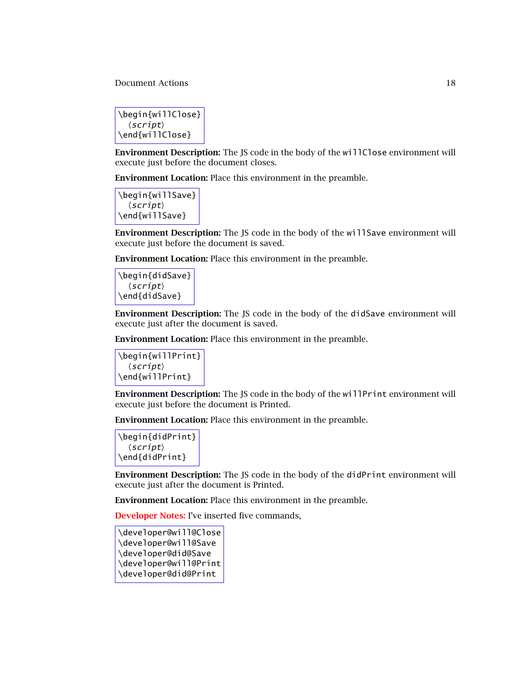Document Actions 18

```
\begin{willClose}
   \langle script \rangle\end{willClose}
```
**Environment Description:** The JS code in the body of the willClose environment will execute just before the document closes.

**Environment Location:** Place this environment in the preamble.

\begin{willSave}  $\langle script \rangle$ \end{willSave}

**Environment Description:** The JS code in the body of the willSave environment will execute just before the document is saved.

**Environment Location:** Place this environment in the preamble.

\begin{didSave}  $\langle script \rangle$ \end{didSave}

**Environment Description:** The JS code in the body of the didSave environment will execute just after the document is saved.

**Environment Location:** Place this environment in the preamble.

\begin{willPrint}  $\langle script \rangle$ \end{willPrint}

**Environment Description:** The JS code in the body of the willPrint environment will execute just before the document is Printed.

**Environment Location:** Place this environment in the preamble.

```
\begin{didPrint}
  \langle script \rangle\end{didPrint}
```
**Environment Description:** The JS code in the body of the didPrint environment will execute just after the document is Printed.

**Environment Location:** Place this environment in the preamble.

**Developer Notes:** I've inserted five commands,

\developer@will@Close \developer@will@Save \developer@did@Save \developer@will@Print \developer@did@Print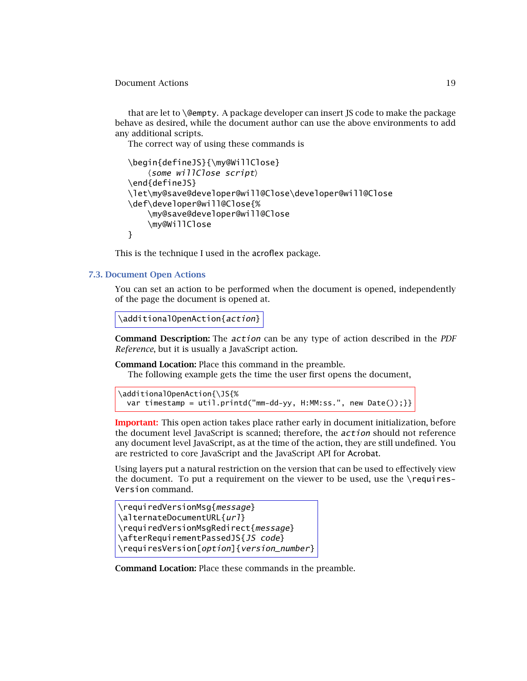#### <span id="page-18-0"></span>Document Actions 19

that are let to \@empty. A package developer can insert JS code to make the package behave as desired, while the document author can use the above environments to add any additional scripts.

The correct way of using these commands is

```
\begin{defineJS}{\my@WillClose}
    \langlesome willClose script\rangle\end{defineJS}
\let\my@save@developer@will@Close\developer@will@Close
\def\developer@will@Close{%
    \my@save@developer@will@Close
    \my@WillClose
}
```
This is the technique I used in the acroflex package.

#### **7.3. Document Open Actions**

You can set an action to be performed when the document is opened, independently of the page the document is opened at.

```
\additionalOpenAction{action}
```
**Command Description:** The action can be any type of action described in the *PDF Reference*, but it is usually a JavaScript action.

**Command Location:** Place this command in the preamble.

The following example gets the time the user first opens the document,

```
\additionalOpenAction{\JS{%
 var timestamp = util.printd("mm-dd-yy, H:MM:ss.", new Date());}}
```
**Important:** This open action takes place rather early in document initialization, before the document level JavaScript is scanned; therefore, the *action* should not reference any document level JavaScript, as at the time of the action, they are still undefined. You are restricted to core JavaScript and the JavaScript API for Acrobat.

Using layers put a natural restriction on the version that can be used to effectively view the document. To put a requirement on the viewer to be used, use the \requires-Version command.

```
\requiredVersionMsg{message}
\alternateDocumentURL{url}
\requiredVersionMsgRedirect{message}
\afterRequirementPassedJS{JS code}
\requiresVersion[option]{version_number}
```
**Command Location:** Place these commands in the preamble.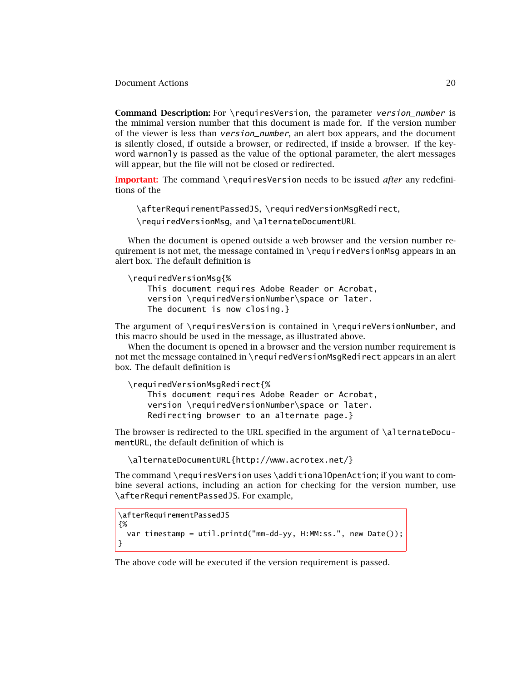Document Actions 20

**Command Description:** For \requiresVersion, the parameter version\_number is the minimal version number that this document is made for. If the version number of the viewer is less than *version number*, an alert box appears, and the document is silently closed, if outside a browser, or redirected, if inside a browser. If the keyword warnonly is passed as the value of the optional parameter, the alert messages will appear, but the file will not be closed or redirected.

**Important:** The command \requiresVersion needs to be issued *after* any redefinitions of the

\afterRequirementPassedJS*,* \requiredVersionMsgRedirect*,* \requiredVersionMsg*,* and \alternateDocumentURL

When the document is opened outside a web browser and the version number requirement is not met, the message contained in \requiredVersionMsg appears in an alert box. The default definition is

```
\requiredVersionMsg{%
```

```
This document requires Adobe Reader or Acrobat,
version \requiredVersionNumber\space or later.
The document is now closing.}
```
The argument of \requiresVersion is contained in \requireVersionNumber, and this macro should be used in the message, as illustrated above.

When the document is opened in a browser and the version number requirement is not met the message contained in \requiredVersionMsgRedirect appears in an alert box. The default definition is

```
\requiredVersionMsgRedirect{%
    This document requires Adobe Reader or Acrobat,
    version \requiredVersionNumber\space or later.
    Redirecting browser to an alternate page.}
```
The browser is redirected to the URL specified in the argument of \alternateDocumentURL, the default definition of which is

```
\alternateDocumentURL{http://www.acrotex.net/}
```
The command \requiresVersion uses \additionalOpenAction; if you want to combine several actions, including an action for checking for the version number, use \afterRequirementPassedJS. For example,

```
\afterRequirementPassedJS
{%
  var timestamp = util.printd("mm-dd-yy, H:MM:ss.", new Date());
}
```
The above code will be executed if the version requirement is passed.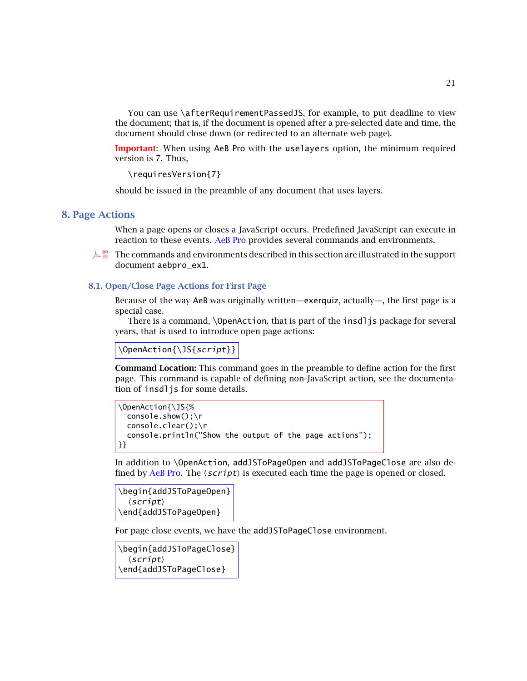<span id="page-20-0"></span>You can use \afterRequirementPassedJS, for example, to put deadline to view the document; that is, if the document is opened after a pre-selected date and time, the document should close down (or redirected to an alternate web page).

**Important:** When using AeB Pro with the uselayers option, the minimum required version is 7. Thus,

\requiresVersion{7}

should be issued in the preamble of any document that uses layers.

### **8. Page Actions**

When a page opens or closes a JavaScript occurs. Predefined JavaScript can execute in reaction to these events. AeB Pro provides several commands and environments.

 $\Box$  The commands and environments described in this section are illustrated in the support document aebpro\_ex1.

# **8.1. Open/Close Page Actions for First Page**

Because of the way AeB was originally written—exerquiz, actually—, the first page is a special case.

There is a command, \OpenAction, that is part of the insdljs package for several years, that is used to introduce open page actions:

\OpenAction{\JS{script}}

**Command Location:** This command goes in the preamble to define action for the first page. This command is capable of defining non-JavaScript action, see the documentation of insdljs for some details.

```
\OpenAction{\JS{%
  console.show();\r
  console.clear();\r
  console.println("Show the output of the page actions");
}}
```
In addition to \OpenAction, addJSToPageOpen and addJSToPageClose are also defined by AeB Pro. The  $\langle script\rangle$  is executed each time the page is opened or closed.

```
\begin{addJSToPageOpen}
  \langle script \rangle\end{addJSToPageOpen}
```
For page close events, we have the addJSToPageClose environment.

\begin{addJSToPageClose}  $\langle script \rangle$ \end{addJSToPageClose}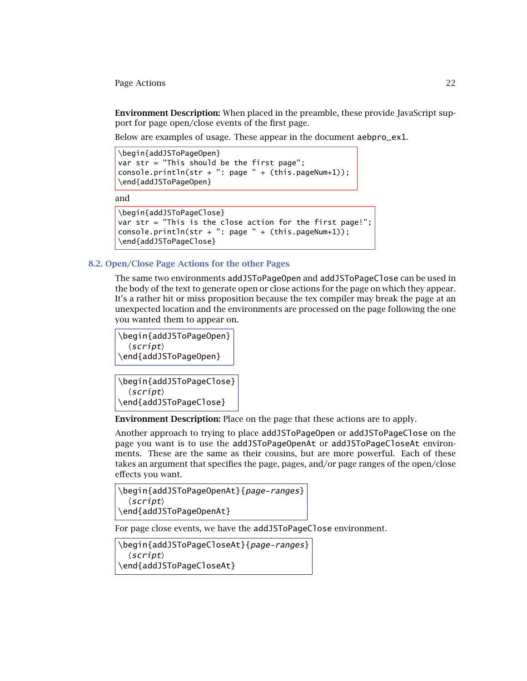<span id="page-21-0"></span>Page Actions 22

**Environment Description:** When placed in the preamble, these provide JavaScript support for page open/close events of the first page.

Below are examples of usage. These appear in the document aebpro\_ex1.

```
\begin{addJSToPageOpen}
var str = "This should be the first page";console.println(str + ": page " + (this.pageNum+1));
\end{addJSToPageOpen}
```
and

```
\begin{addJSToPageClose}
var str = "This is the close action for the first page!";
console.println(str + ": page " + (this.pageNum+1));
\end{addJSToPageClose}
```
# **8.2. Open/Close Page Actions for the other Pages**

The same two environments addJSToPageOpen and addJSToPageClose can be used in the body of the text to generate open or close actions for the page on which they appear. It's a rather hit or miss proposition because the tex compiler may break the page at an unexpected location and the environments are processed on the page following the one you wanted them to appear on.

```
\begin{addJSToPageOpen}
  \langle script \rangle\end{addJSToPageOpen}
```

```
\begin{addJSToPageClose}
  \langle script \rangle\end{addJSToPageClose}
```
**Environment Description:** Place on the page that these actions are to apply.

Another approach to trying to place addJSToPageOpen or addJSToPageClose on the page you want is to use the addJSToPageOpenAt or addJSToPageCloseAt environments. These are the same as their cousins, but are more powerful. Each of these takes an argument that specifies the page, pages, and/or page ranges of the open/close effects you want.

```
\begin{addJSToPageOpenAt}{page-ranges}
  \langle script \rangle\end{addJSToPageOpenAt}
```
For page close events, we have the addJSToPageClose environment.

```
\begin{addJSToPageCloseAt}{page-ranges}
  \langle script \rangle\end{addJSToPageCloseAt}
```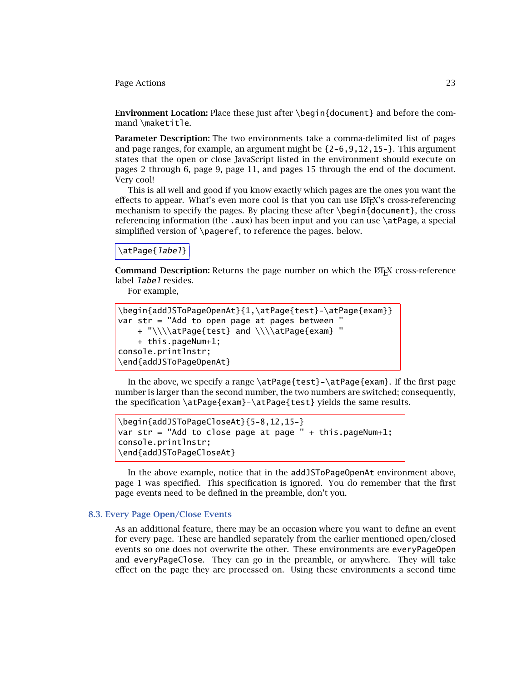<span id="page-22-0"></span>Page Actions 23

**Environment Location:** Place these just after \begin{document} and before the command \maketitle.

**Parameter Description:** The two environments take a comma-delimited list of pages and page ranges, for example, an argument might be {2-6,9,12,15-}. This argument states that the open or close JavaScript listed in the environment should execute on pages 2 through 6, page 9, page 11, and pages 15 through the end of the document. Very cool!

This is all well and good if you know exactly which pages are the ones you want the effects to appear. What's even more cool is that you can use  $\mathbb{E}E[X]$ 's cross-referencing mechanism to specify the pages. By placing these after  $\begin{pmatrix} 1 & 0 \\ 0 & 0 \end{pmatrix}$ , the cross referencing information (the .aux) has been input and you can use \atPage, a special simplified version of \pageref, to reference the pages. below.

# \atPage{*label*}

**Command Description:** Returns the page number on which the ET<sub>EX</sub> cross-reference label *label* resides.

For example,

| \begin{addJSToPageOpenAt}{1,\atPage{test}-\atPage{exam}} |
|----------------------------------------------------------|
| var $str = "Add to open page at pages between "$         |
| + "\\\\atPage{test} and \\\\atPage{exam} "               |
| + this.pageNum+1;                                        |
| console.printlnstr;                                      |
| \end{addJSToPageOpenAt}                                  |

In the above, we specify a range  $\atop$  at Page{test}- $\atop$  at Page{exam}. If the first page number is larger than the second number, the two numbers are switched; consequently, the specification \atPage{exam}-\atPage{test} yields the same results.

```
\begin{addJSToPageCloseAt}{5-8,12,15-}
var str = "Add to close page at page " + this.pageNum+1;
console.printlnstr;
\end{addJSToPageCloseAt}
```
In the above example, notice that in the addJSToPageOpenAt environment above, page 1 was specified. This specification is ignored. You do remember that the first page events need to be defined in the preamble, don't you.

# **8.3. Every Page Open/Close Events**

As an additional feature, there may be an occasion where you want to define an event for every page. These are handled separately from the earlier mentioned open/closed events so one does not overwrite the other. These environments are everyPageOpen and everyPageClose. They can go in the preamble, or anywhere. They will take effect on the page they are processed on. Using these environments a second time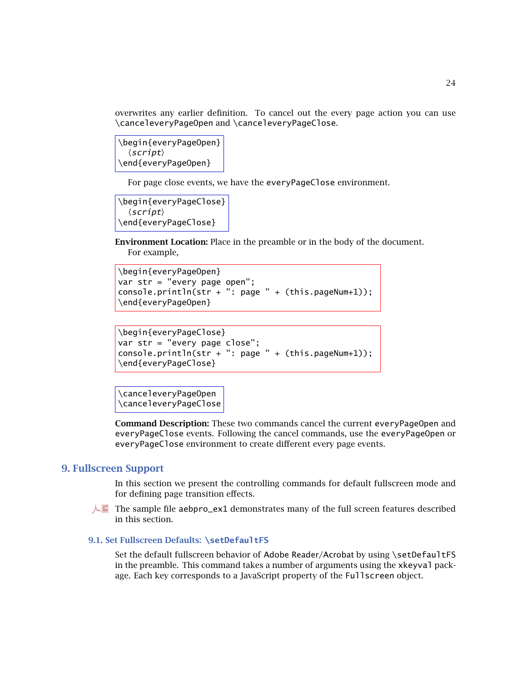<span id="page-23-0"></span>overwrites any earlier definition. To cancel out the every page action you can use \canceleveryPageOpen and \canceleveryPageClose.

\begin{everyPageOpen}  $\langle script \rangle$ \end{everyPageOpen}

For page close events, we have the everyPageClose environment.

```
\begin{everyPageClose}
  \langle script \rangle\end{everyPageClose}
```
**Environment Location:** Place in the preamble or in the body of the document. For example,

```
\begin{everyPageOpen}
var str = "every page open";
console.println(str + ": page " + (this.pageNum+1));\end{everyPageOpen}
```

```
\begin{everyPageClose}
var str = "every page close";
console.println(str + ": page " + (this.paqeNum+1));\end{everyPageClose}
```

```
\canceleveryPageOpen
\canceleveryPageClose
```
**Command Description:** These two commands cancel the current everyPageOpen and everyPageClose events. Following the cancel commands, use the everyPageOpen or everyPageClose environment to create different every page events.

# **9. Fullscreen Support**

In this section we present the controlling commands for default fullscreen mode and for defining page transition effects.

 $\Box$  The sample file aebpro\_ex1 demonstrates many of the full screen features described in this section.

# **9.1. Set Fullscreen Defaults: \setDefaultFS**

Set the default fullscreen behavior of Adobe Reader/Acrobat by using \setDefaultFS in the preamble. This command takes a number of arguments using the xkeyval package. Each key corresponds to a JavaScript property of the Fullscreen object.

24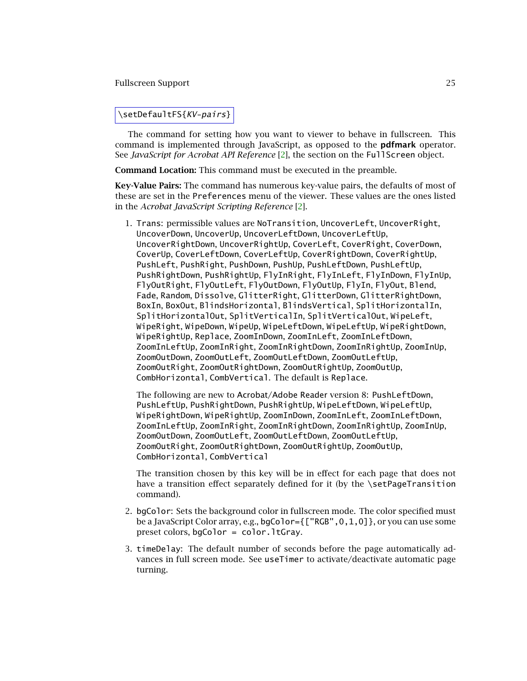#### <span id="page-24-0"></span>Fullscreen Support 25

# \setDefaultFS{KV-pairs}

The command for setting how you want to viewer to behave in fullscreen. This command is implemented through JavaScript, as opposed to the **pdfmark** operator. See *JavaScript for Acrobat API Reference* [\[2\]](#page-59-0), the section on the FullScreen object.

**Command Location:** This command must be executed in the preamble.

**Key-Value Pairs:** The command has numerous key-value pairs, the defaults of most of these are set in the Preferences menu of the viewer. These values are the ones listed in the *Acrobat JavaScript Scripting Reference* [\[2\]](#page-59-0).

1. Trans: permissible values are NoTransition, UncoverLeft, UncoverRight, UncoverDown, UncoverUp, UncoverLeftDown, UncoverLeftUp, UncoverRightDown, UncoverRightUp, CoverLeft, CoverRight, CoverDown, CoverUp, CoverLeftDown, CoverLeftUp, CoverRightDown, CoverRightUp, PushLeft, PushRight, PushDown, PushUp, PushLeftDown, PushLeftUp, PushRightDown, PushRightUp, FlyInRight, FlyInLeft, FlyInDown, FlyInUp, FlyOutRight, FlyOutLeft, FlyOutDown, FlyOutUp, FlyIn, FlyOut, Blend, Fade, Random, Dissolve, GlitterRight, GlitterDown, GlitterRightDown, BoxIn, BoxOut, BlindsHorizontal, BlindsVertical, SplitHorizontalIn, SplitHorizontalOut, SplitVerticalIn, SplitVerticalOut, WipeLeft, WipeRight, WipeDown, WipeUp, WipeLeftDown, WipeLeftUp, WipeRightDown, WipeRightUp, Replace, ZoomInDown, ZoomInLeft, ZoomInLeftDown, ZoomInLeftUp, ZoomInRight, ZoomInRightDown, ZoomInRightUp, ZoomInUp, ZoomOutDown, ZoomOutLeft, ZoomOutLeftDown, ZoomOutLeftUp, ZoomOutRight, ZoomOutRightDown, ZoomOutRightUp, ZoomOutUp, CombHorizontal, CombVertical. The default is Replace.

The following are new to Acrobat/Adobe Reader version 8: PushLeftDown, PushLeftUp, PushRightDown, PushRightUp, WipeLeftDown, WipeLeftUp, WipeRightDown, WipeRightUp, ZoomInDown, ZoomInLeft, ZoomInLeftDown, ZoomInLeftUp, ZoomInRight, ZoomInRightDown, ZoomInRightUp, ZoomInUp, ZoomOutDown, ZoomOutLeft, ZoomOutLeftDown, ZoomOutLeftUp, ZoomOutRight, ZoomOutRightDown, ZoomOutRightUp, ZoomOutUp, CombHorizontal, CombVertical

The transition chosen by this key will be in effect for each page that does not have a transition effect separately defined for it (by the \setPageTransition command).

- 2. bgColor: Sets the background color in fullscreen mode. The color specified must be a JavaScript Color array, e.g., bgColor={["RGB",0,1,0]}, or you can use some preset colors, bgColor = color.ltGray.
- 3. timeDelay: The default number of seconds before the page automatically advances in full screen mode. See useTimer to activate/deactivate automatic page turning.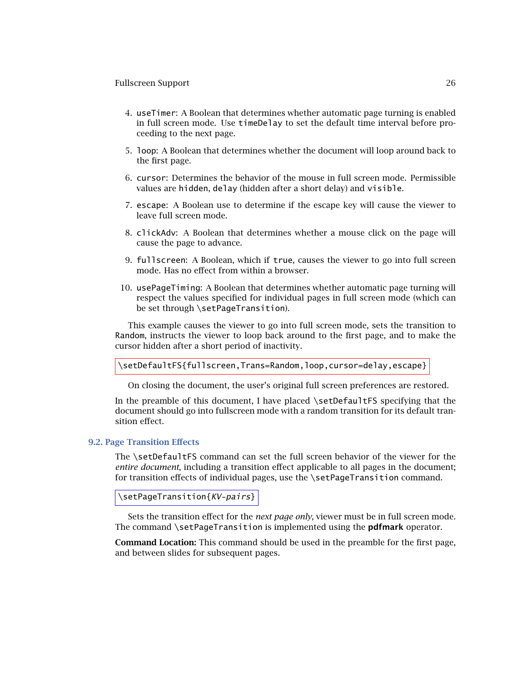### <span id="page-25-0"></span>Fullscreen Support 26

- 4. useTimer: A Boolean that determines whether automatic page turning is enabled in full screen mode. Use timeDelay to set the default time interval before proceeding to the next page.
- 5. loop: A Boolean that determines whether the document will loop around back to the first page.
- 6. cursor: Determines the behavior of the mouse in full screen mode. Permissible values are hidden, delay (hidden after a short delay) and visible.
- 7. escape: A Boolean use to determine if the escape key will cause the viewer to leave full screen mode.
- 8. clickAdv: A Boolean that determines whether a mouse click on the page will cause the page to advance.
- 9. fullscreen: A Boolean, which if true, causes the viewer to go into full screen mode. Has no effect from within a browser.
- 10. usePageTiming: A Boolean that determines whether automatic page turning will respect the values specified for individual pages in full screen mode (which can be set through \setPageTransition).

This example causes the viewer to go into full screen mode, sets the transition to Random, instructs the viewer to loop back around to the first page, and to make the cursor hidden after a short period of inactivity.

\setDefaultFS{fullscreen,Trans=Random,loop,cursor=delay,escape}

On closing the document, the user's original full screen preferences are restored.

In the preamble of this document, I have placed \setDefaultFS specifying that the document should go into fullscreen mode with a random transition for its default transition effect.

# **9.2. Page Transition Effects**

The \setDefaultFS command can set the full screen behavior of the viewer for the *entire document*, including a transition effect applicable to all pages in the document; for transition effects of individual pages, use the \setPageTransition command.

```
\setPageTransition{KV-pairs}
```
Sets the transition effect for the *next page only*, viewer must be in full screen mode. The command \setPageTransition is implemented using the **pdfmark** operator.

**Command Location:** This command should be used in the preamble for the first page, and between slides for subsequent pages.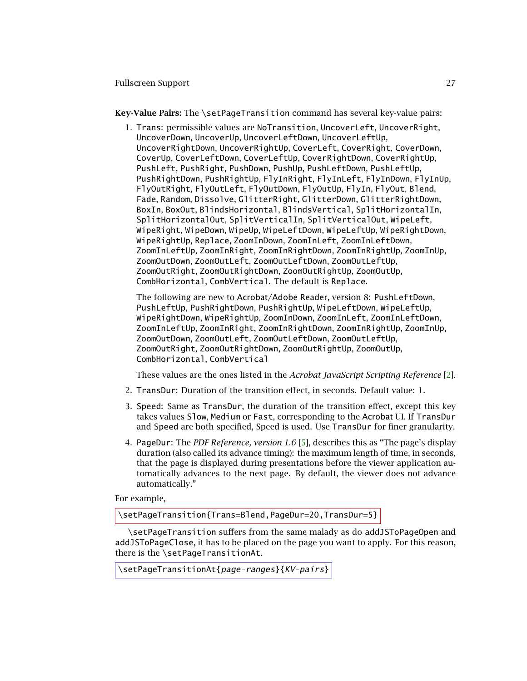<span id="page-26-0"></span>Fullscreen Support 27

**Key-Value Pairs:** The \setPageTransition command has several key-value pairs:

1. Trans: permissible values are NoTransition, UncoverLeft, UncoverRight, UncoverDown, UncoverUp, UncoverLeftDown, UncoverLeftUp, UncoverRightDown, UncoverRightUp, CoverLeft, CoverRight, CoverDown, CoverUp, CoverLeftDown, CoverLeftUp, CoverRightDown, CoverRightUp, PushLeft, PushRight, PushDown, PushUp, PushLeftDown, PushLeftUp, PushRightDown, PushRightUp, FlyInRight, FlyInLeft, FlyInDown, FlyInUp, FlyOutRight, FlyOutLeft, FlyOutDown, FlyOutUp, FlyIn, FlyOut, Blend, Fade, Random, Dissolve, GlitterRight, GlitterDown, GlitterRightDown, BoxIn, BoxOut, BlindsHorizontal, BlindsVertical, SplitHorizontalIn, SplitHorizontalOut, SplitVerticalIn, SplitVerticalOut, WipeLeft, WipeRight, WipeDown, WipeUp, WipeLeftDown, WipeLeftUp, WipeRightDown, WipeRightUp, Replace, ZoomInDown, ZoomInLeft, ZoomInLeftDown, ZoomInLeftUp, ZoomInRight, ZoomInRightDown, ZoomInRightUp, ZoomInUp, ZoomOutDown, ZoomOutLeft, ZoomOutLeftDown, ZoomOutLeftUp, ZoomOutRight, ZoomOutRightDown, ZoomOutRightUp, ZoomOutUp, CombHorizontal, CombVertical. The default is Replace.

The following are new to Acrobat/Adobe Reader, version 8: PushLeftDown, PushLeftUp, PushRightDown, PushRightUp, WipeLeftDown, WipeLeftUp, WipeRightDown, WipeRightUp, ZoomInDown, ZoomInLeft, ZoomInLeftDown, ZoomInLeftUp, ZoomInRight, ZoomInRightDown, ZoomInRightUp, ZoomInUp, ZoomOutDown, ZoomOutLeft, ZoomOutLeftDown, ZoomOutLeftUp, ZoomOutRight, ZoomOutRightDown, ZoomOutRightUp, ZoomOutUp, CombHorizontal, CombVertical

These values are the ones listed in the *Acrobat JavaScript Scripting Reference* [\[2\]](#page-59-0).

- 2. TransDur: Duration of the transition effect, in seconds. Default value: 1.
- 3. Speed: Same as TransDur, the duration of the transition effect, except this key takes values Slow, Medium or Fast, corresponding to the Acrobat UI. If TransDur and Speed are both specified, Speed is used. Use TransDur for finer granularity.
- 4. PageDur: The *PDF Reference, version 1.6* [\[5\]](#page-59-0), describes this as "The page's display duration (also called its advance timing): the maximum length of time, in seconds, that the page is displayed during presentations before the viewer application automatically advances to the next page. By default, the viewer does not advance automatically."

For example,

\setPageTransition{Trans=Blend,PageDur=20,TransDur=5}

\setPageTransition suffers from the same malady as do addJSToPageOpen and addJSToPageClose, it has to be placed on the page you want to apply. For this reason, there is the \setPageTransitionAt.

\setPageTransitionAt{page-ranges}{KV-pairs}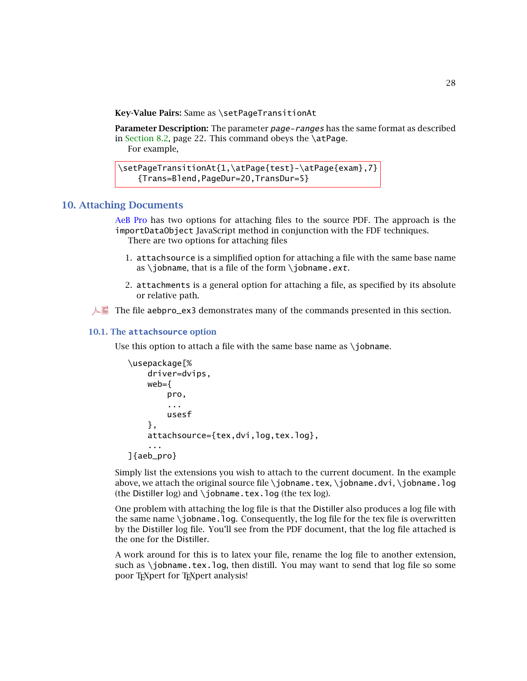<span id="page-27-0"></span>**Key-Value Pairs:** Same as \setPageTransitionAt

**Parameter Description:** The parameter page-ranges has the same format as described in [Section 8.2,](#page-21-0) page 22. This command obeys the \atPage.

For example,

```
\setPageTransitionAt{1,\atPage{test}-\atPage{exam},7}
   {Trans=Blend,PageDur=20,TransDur=5}
```
# **10. Attaching Documents**

AeB Pro has two options for attaching files to the source PDF. The approach is the importDataObject JavaScript method in conjunction with the FDF techniques. There are two options for attaching files

- 1. attachsource is a simplified option for attaching a file with the same base name as \jobname, that is a file of the form \jobname.ext.
- 2. attachments is a general option for attaching a file, as specified by its absolute or relative path.
- $\Box$  The file aebpro\_ex3 demonstrates many of the commands presented in this section.

# **10.1. The attachsource option**

Use this option to attach a file with the same base name as  $\iota$  jobname.

```
\usepackage[%
    driver=dvips,
    web={
        pro,
        ...
        usesf
    },
    attachsource={tex,dvi,log,tex.log},
    ...
]{aeb_pro}
```
Simply list the extensions you wish to attach to the current document. In the example above, we attach the original source file \jobname.tex, \jobname.dvi, \jobname.log (the Distiller log) and \jobname.tex.log (the tex log).

One problem with attaching the log file is that the Distiller also produces a log file with the same name  $\iota$  iobname. log. Consequently, the log file for the tex file is overwritten by the Distiller log file. You'll see from the PDF document, that the log file attached is the one for the Distiller.

A work around for this is to latex your file, rename the log file to another extension, such as  $\iota$  iobname.tex.log, then distill. You may want to send that log file so some poor T<sub>E</sub>Xpert for T<sub>E</sub>Xpert analysis!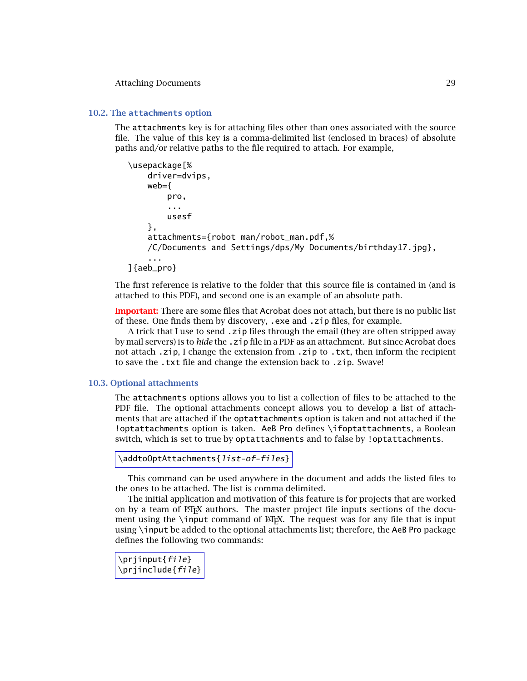#### <span id="page-28-0"></span>Attaching Documents 29

### **10.2. The attachments option**

The attachments key is for attaching files other than ones associated with the source file. The value of this key is a comma-delimited list (enclosed in braces) of absolute paths and/or relative paths to the file required to attach. For example,

```
\usepackage[%
    driver=dvips,
    web =pro,
        ...
        usesf
    },
    attachments={robot man/robot_man.pdf,%
    /C/Documents and Settings/dps/My Documents/birthday17.jpg},
    ...
]{aeb_pro}
```
The first reference is relative to the folder that this source file is contained in (and is attached to this PDF), and second one is an example of an absolute path.

**Important:** There are some files that Acrobat does not attach, but there is no public list of these. One finds them by discovery, .exe and .zip files, for example.

A trick that I use to send .zip files through the email (they are often stripped away by mail servers) is to *hide* the .zip file in a PDF as an attachment. But since Acrobat does not attach .zip, I change the extension from .zip to .txt, then inform the recipient to save the .txt file and change the extension back to .zip. Swave!

### **10.3. Optional attachments**

The attachments options allows you to list a collection of files to be attached to the PDF file. The optional attachments concept allows you to develop a list of attachments that are attached if the optattachments option is taken and not attached if the !optattachments option is taken. AeB Pro defines \ifoptattachments, a Boolean switch, which is set to true by optattachments and to false by !optattachments.

```
\addtoOptAttachments{list-of-files}
```
This command can be used anywhere in the document and adds the listed files to the ones to be attached. The list is comma delimited.

The initial application and motivation of this feature is for projects that are worked on by a team of  $\mathbb{F}E[X]$  authors. The master project file inputs sections of the document using the \input command of  $ETKX$ . The request was for any file that is input using \input be added to the optional attachments list; therefore, the AeB Pro package defines the following two commands:

\prjinput{file} \prjinclude{file}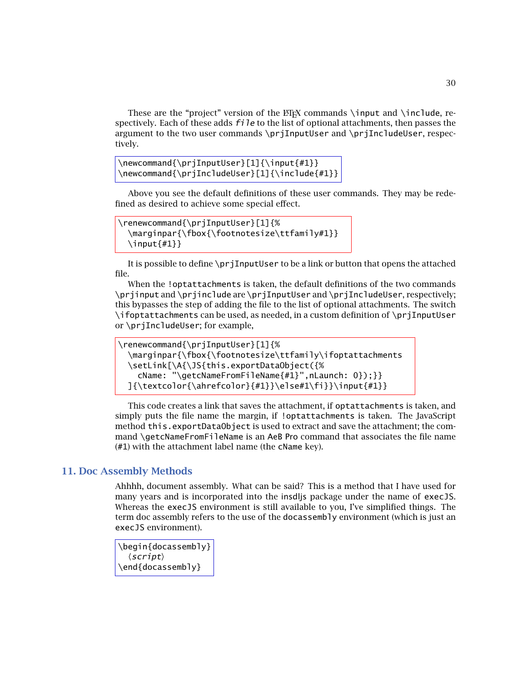<span id="page-29-0"></span>These are the "project" version of the  $\mathbb{F}_rX$  commands \input and \include, respectively. Each of these adds  $f$ *i* le to the list of optional attachments, then passes the argument to the two user commands \prjInputUser and \prjIncludeUser, respectively.

```
\newcommand{\prjInputUser}[1]{\input{#1}}
\newcommand{\prjIncludeUser}[1]{\include{#1}}
```
Above you see the default definitions of these user commands. They may be redefined as desired to achieve some special effect.

```
\renewcommand{\prjInputUser}[1]{%
  \marginpar{\fbox{\footnotesize\ttfamily#1}}
  \ininput{#1}}
```
It is possible to define \prjInputUser to be a link or button that opens the attached file.

When the !optattachments is taken, the default definitions of the two commands \prjinput and \prjinclude are \prjInputUser and \prjIncludeUser, respectively; this bypasses the step of adding the file to the list of optional attachments. The switch \ifoptattachments can be used, as needed, in a custom definition of \prjInputUser or \prjIncludeUser; for example,

```
\renewcommand{\prjInputUser}[1]{%
  \marginpar{\fbox{\footnotesize\ttfamily\ifoptattachments
  \setLink[\A{\JS{this.exportDataObject({%
    cName: "\getcNameFromFileName{#1}",nLaunch: 0});}}
  ]\{\textcolor{violet}{\ahrefcolor{\rel}{#1}}\els\#1\}.\infty\
```
This code creates a link that saves the attachment, if optattachments is taken, and simply puts the file name the margin, if !optattachments is taken. The JavaScript method this.exportDataObject is used to extract and save the attachment; the command \getcNameFromFileName is an AeB Pro command that associates the file name (#1) with the attachment label name (the cName key).

# **11. Doc Assembly Methods**

Ahhhh, document assembly. What can be said? This is a method that I have used for many years and is incorporated into the insdljs package under the name of execJS. Whereas the execJS environment is still available to you, I've simplified things. The term doc assembly refers to the use of the docassembly environment (which is just an execJS environment).

```
\begin{docassembly}
  \langle script \rangle\end{docassembly}
```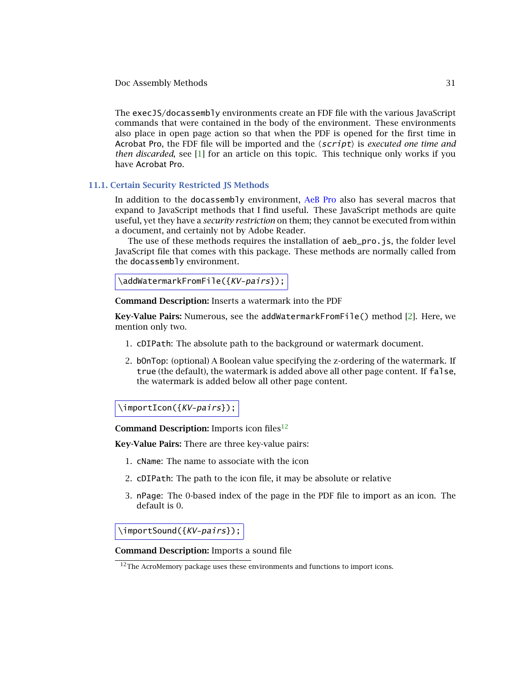<span id="page-30-0"></span>The execJS/docassembly environments create an FDF file with the various JavaScript commands that were contained in the body of the environment. These environments also place in open page action so that when the PDF is opened for the first time in Acrobat Pro, the FDF file will be imported and the  $\langle script \rangle$  is *executed one time and then discarded*, see [\[1\]](#page-59-0) for an article on this topic. This technique only works if you have Acrobat Pro.

# **11.1. Certain Security Restricted JS Methods**

In addition to the docassembly environment, AeB Pro also has several macros that expand to JavaScript methods that I find useful. These JavaScript methods are quite useful, yet they have a *security restriction* on them; they cannot be executed from within a document, and certainly not by Adobe Reader.

The use of these methods requires the installation of aeb\_pro.js, the folder level JavaScript file that comes with this package. These methods are normally called from the docassembly environment.

```
\addWatermarkFromFile({KV-pairs});
```
**Command Description:** Inserts a watermark into the PDF

**Key-Value Pairs:** Numerous, see the addWatermarkFromFile() method [\[2\]](#page-59-0). Here, we mention only two.

- 1. cDIPath: The absolute path to the background or watermark document.
- 2. bOnTop: (optional) A Boolean value specifying the z-ordering of the watermark. If true (the default), the watermark is added above all other page content. If false, the watermark is added below all other page content.

\importIcon({KV-pairs});

**Command Description:** Imports icon files<sup>12</sup>

**Key-Value Pairs:** There are three key-value pairs:

- 1. cName: The name to associate with the icon
- 2. cDIPath: The path to the icon file, it may be absolute or relative
- 3. nPage: The 0-based index of the page in the PDF file to import as an icon. The default is 0.

\importSound({KV-pairs});

**Command Description:** Imports a sound file

 $12$ The AcroMemory package uses these environments and functions to import icons.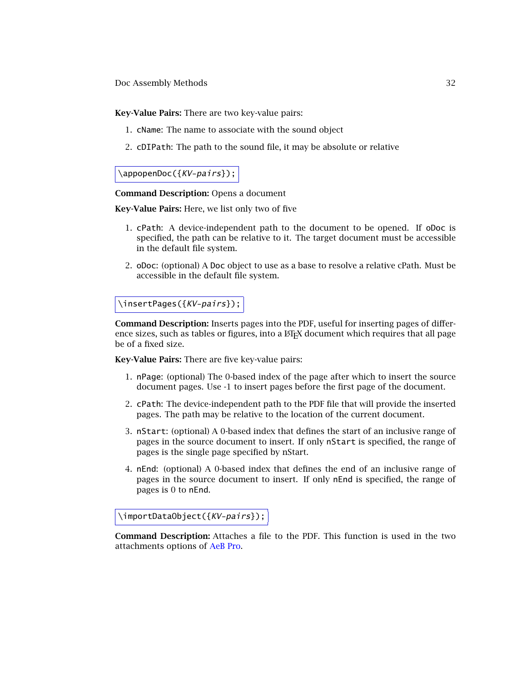**Key-Value Pairs:** There are two key-value pairs:

- 1. cName: The name to associate with the sound object
- 2. cDIPath: The path to the sound file, it may be absolute or relative

# \appopenDoc({KV-pairs});

**Command Description:** Opens a document

**Key-Value Pairs:** Here, we list only two of five

- 1. cPath: A device-independent path to the document to be opened. If oDoc is specified, the path can be relative to it. The target document must be accessible in the default file system.
- 2. oDoc: (optional) A Doc object to use as a base to resolve a relative cPath. Must be accessible in the default file system.

# \insertPages({KV-pairs});

**Command Description:** Inserts pages into the PDF, useful for inserting pages of difference sizes, such as tables or figures, into a  $ETeX$  document which requires that all page be of a fixed size.

**Key-Value Pairs:** There are five key-value pairs:

- 1. nPage: (optional) The 0-based index of the page after which to insert the source document pages. Use -1 to insert pages before the first page of the document.
- 2. cPath: The device-independent path to the PDF file that will provide the inserted pages. The path may be relative to the location of the current document.
- 3. nStart: (optional) A 0-based index that defines the start of an inclusive range of pages in the source document to insert. If only nStart is specified, the range of pages is the single page specified by nStart.
- 4. nEnd: (optional) A 0-based index that defines the end of an inclusive range of pages in the source document to insert. If only nEnd is specified, the range of pages is 0 to nEnd.

\importDataObject({KV-pairs});

**Command Description:** Attaches a file to the PDF. This function is used in the two attachments options of AeB Pro.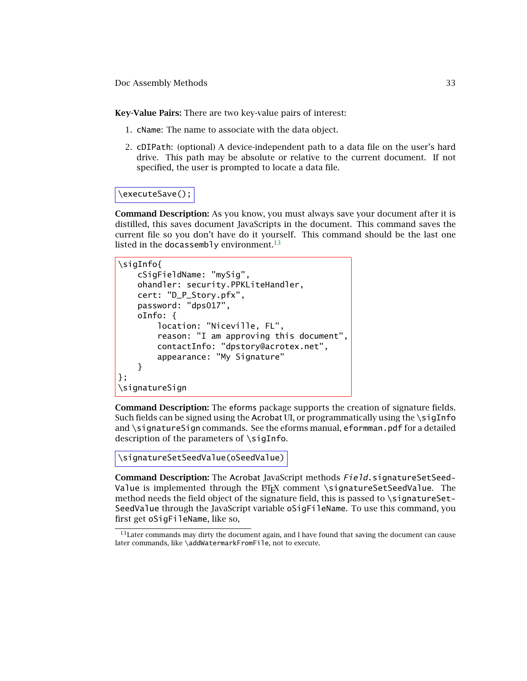**Key-Value Pairs:** There are two key-value pairs of interest:

- 1. cName: The name to associate with the data object.
- 2. cDIPath: (optional) A device-independent path to a data file on the user's hard drive. This path may be absolute or relative to the current document. If not specified, the user is prompted to locate a data file.

# \executeSave();

**Command Description:** As you know, you must always save your document after it is distilled, this saves document JavaScripts in the document. This command saves the current file so you don't have do it yourself. This command should be the last one listed in the docassembly environment.<sup>13</sup>

```
\sigInfo{
    cSigFieldName: "mySig",
    ohandler: security.PPKLiteHandler,
    cert: "D_P_Story.pfx",
    password: "dps017",
    oInfo: {
        location: "Niceville, FL",
        reason: "I am approving this document",
        contactInfo: "dpstory@acrotex.net",
        appearance: "My Signature"
    }
};
\signatureSign
```
**Command Description:** The eforms package supports the creation of signature fields. Such fields can be signed using the Acrobat UI, or programmatically using the  $\sigma$ iqInfo and \signatureSign commands. See the eforms manual, eformman.pdf for a detailed description of the parameters of \sigInfo.

```
\signatureSetSeedValue(oSeedValue)
```
**Command Description:** The Acrobat JavaScript methods Field.signatureSetSeed-Value is implemented through the LATEX comment \signatureSetSeedValue. The method needs the field object of the signature field, this is passed to \signatureSet-SeedValue through the JavaScript variable oSigFileName. To use this command, you first get oSigFileName, like so,

<sup>&</sup>lt;sup>13</sup>Later commands may dirty the document again, and I have found that saving the document can cause later commands, like \addWatermarkFromFile, not to execute.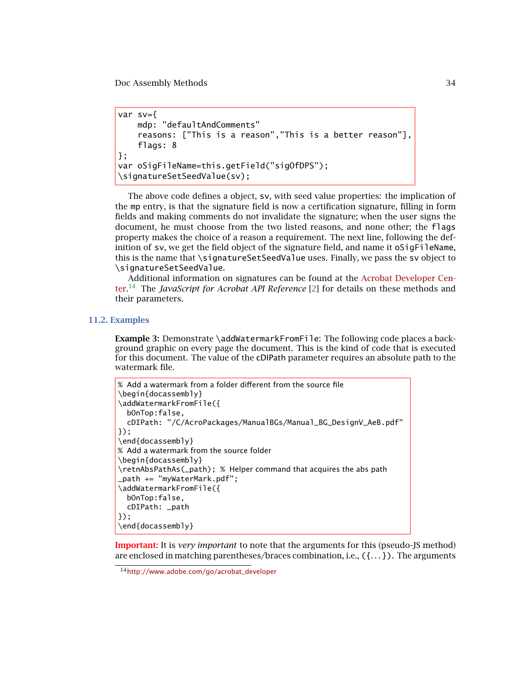```
var sv={
    mdp: "defaultAndComments"
    reasons: ["This is a reason","This is a better reason"],
    flags: 8
};
var oSigFileName=this.getField("sigOfDPS");
\signatureSetSeedValue(sv);
```
The above code defines a object, sv, with seed value properties: the implication of the mp entry, is that the signature field is now a certification signature, filling in form fields and making comments do not invalidate the signature; when the user signs the document, he must choose from the two listed reasons, and none other; the flags property makes the choice of a reason a requirement. The next line, following the definition of sv, we get the field object of the signature field, and name it oSigFileName, this is the name that \signatureSetSeedValue uses. Finally, we pass the sv object to \signatureSetSeedValue.

[Additional information on signatures can be found at the](http://www.adobe.com/go/acrobat_developer) Acrobat Developer Center. <sup>14</sup> The *JavaScript for Acrobat API Reference* [\[2\]](#page-59-0) for details on these methods and their parameters.

# **11.2. Examples**

**Example 3:** Demonstrate \addWatermarkFromFile: The following code places a background graphic on every page the document. This is the kind of code that is executed for this document. The value of the cDIPath parameter requires an absolute path to the watermark file.

```
% Add a watermark from a folder different from the source file
\begin{docassembly}
\addWatermarkFromFile({
  bOnTop:false,
  cDIPath: "/C/AcroPackages/ManualBGs/Manual_BG_DesignV_AeB.pdf"
});
\end{docassembly}
% Add a watermark from the source folder
\begin{docassembly}
\retnAbsPathAs(_path); % Helper command that acquires the abs path
_path += "myWaterMark.pdf";
\addWatermarkFromFile({
  bOnTop:false,
  cDIPath: _path
});
\end{docassembly}
```
**Important:** It is *very important* to note that the arguments for this (pseudo-JS method) are enclosed in matching parentheses/braces combination, i.e., ({*...* }). The arguments

<sup>14</sup>[http://www.adobe.com/go/acrobat\\_developer](http://www.adobe.com/go/acrobat_developer)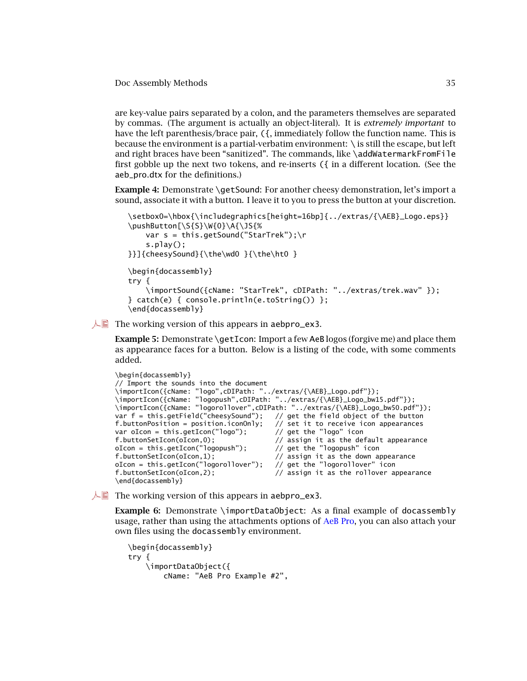<span id="page-34-0"></span>are key-value pairs separated by a colon, and the parameters themselves are separated by commas. (The argument is actually an object-literal). It is *extremely important* to have the left parenthesis/brace pair, ({, immediately follow the function name. This is because the environment is a partial-verbatim environment: \ is still the escape, but left and right braces have been "sanitized". The commands, like \addWatermarkFromFile first gobble up the next two tokens, and re-inserts ({ in a different location. (See the aeb\_pro.dtx for the definitions.)

**Example 4:** Demonstrate \getSound: For another cheesy demonstration, let's import a sound, associate it with a button. I leave it to you to press the button at your discretion.

```
\setbox0=\hbox{\includegraphics[height=16bp]{../extras/{\AEB}_Logo.eps}}
\pushButton[\S{S}\W{0}\A{\JS{%
    var s = this.getSound("StarTrek");\r
    s.play();
}}]{cheesySound}{\the\wd0 }{\the\ht0 }
\begin{docassembly}
try {
    \importSound({cName: "StarTrek", cDIPath: "../extras/trek.wav" });
} catch(e) { console.println(e.toString()) };
\end{docassembly}
```
 $\mathbb{R}$  The working version of this appears in aebpro\_ex3.

**Example 5:** Demonstrate \getIcon: Import a few AeB logos (forgive me) and place them as appearance faces for a button. Below is a listing of the code, with some comments added.

```
\begin{docassembly}
// Import the sounds into the document
\importIcon({cName: "logo",cDIPath: "../extras/{\AEB}_Logo.pdf"});
\importIcon({cName: "logopush",cDIPath: "../extras/{\AEB}_Logo_bw15.pdf"});
\importIcon({cName: "logorollover",cDIPath: "../extras/{\AEB}_Logo_bw50.pdf"});
var f = this.getField("cheesySound"); // get the field object of the button
f.buttonPosition = position.iconOnly; // set it to receive icon appearances var oIcon = this.getIcon("logo"); // get the "logo" icon
var oIcon = this.getIcon("logo");
f.buttonSetIcon(oIcon,0); \frac{1}{2} assign it as the default appearance oIcon = this.getIcon("logopush"); \frac{1}{2} get the "logopush" icon
oIcon = this.getIcon("logopush");f.buttonSetIcon(oIcon,1); // assign it as the down appearance
oIcon = this.getIcon("logorollover"); // get the "logorollover" icon<br>f.buttonSetIcon(oIcon,2); // assign it as the rollover ap
                                                // assign it as the rollover appearance
\end{docassembly}
```
 $\mathbb{R}$  The working version of this appears in aebpro\_ex3.

**Example 6:** Demonstrate \importDataObject: As a final example of docassembly usage, rather than using the attachments options of AeB Pro, you can also attach your own files using the docassembly environment.

```
\begin{docassembly}
try {
    \importDataObject({
        cName: "AeB Pro Example #2",
```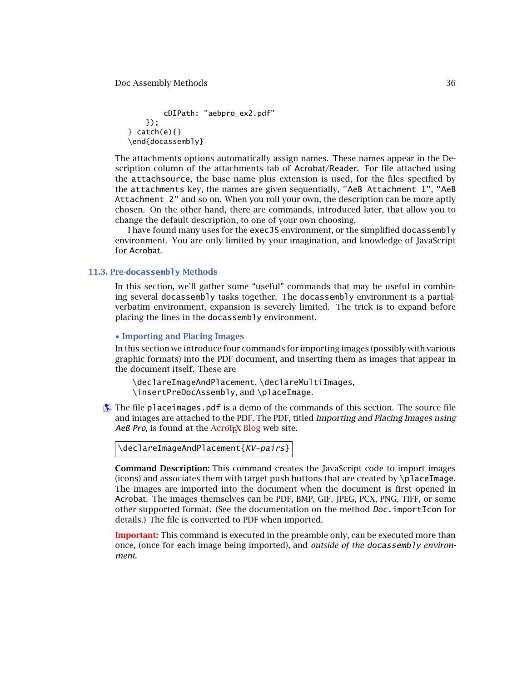<span id="page-35-0"></span>cDIPath: "aebpro\_ex2.pdf" });  $} \catch(e){ }$ \end{docassembly}

The attachments options automatically assign names. These names appear in the Description column of the attachments tab of Acrobat/Reader. For file attached using the attachsource, the base name plus extension is used, for the files specified by the attachments key, the names are given sequentially, "AeB Attachment 1", "AeB Attachment 2" and so on. When you roll your own, the description can be more aptly chosen. On the other hand, there are commands, introduced later, that allow you to change the default description, to one of your own choosing.

I have found many uses for the execJS environment, or the simplified docassembly environment. You are only limited by your imagination, and knowledge of JavaScript for Acrobat.

### **11.3. Pre-docassembly Methods**

In this section, we'll gather some "useful" commands that may be useful in combining several docassembly tasks together. The docassembly environment is a partialverbatim environment, expansion is severely limited. The trick is to expand before placing the lines in the docassembly environment.

#### • **Importing and Placing Images**

In this section we introduce four commands for importing images (possibly with various graphic formats) into the PDF document, and inserting them as images that appear in the document itself. These are

\declareImageAndPlacement, \declareMultiImages, \insertPreDocAssembly, and \placeImage.

 $\bullet$  The file place images. pdf is a demo of the commands of this section. The source file and images are attached to the PDF. The PDF, titled *Importing and Placing Images using* AeB Pro, is found at the AcroT<sub>E</sub>X Blog web site.

```
\declareImageAndPlacement{KV-pairs}
```
**Command Description:** This command creates the JavaScript code to import images (icons) and associates them with target push buttons that are created by  $\pi$ laceImage. The images are imported into the document when the document is first opened in Acrobat. The images themselves can be PDF, BMP, GIF, JPEG, PCX, PNG, TIFF, or some other supported format. (See the documentation on the method Doc.importIcon for details.) The file is converted to PDF when imported.

**Important:** This command is executed in the preamble only, can be executed more than once, (once for each image being imported), and *outside of the* docassembly *environment*.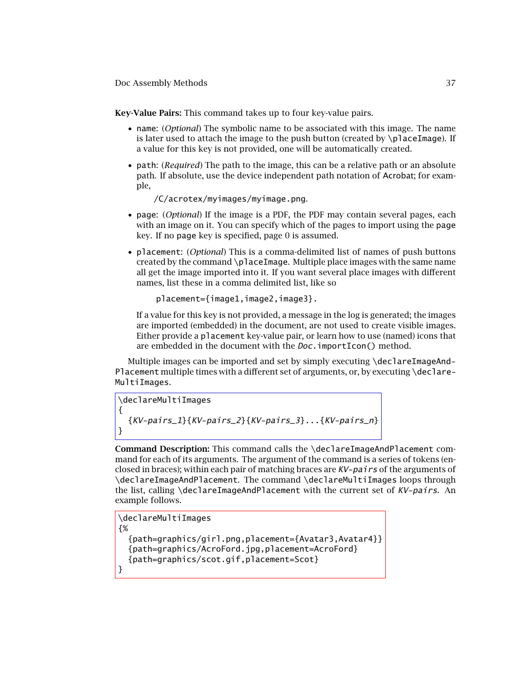**Key-Value Pairs:** This command takes up to four key-value pairs.

- name: (*Optional*) The symbolic name to be associated with this image. The name is later used to attach the image to the push button (created by  $\Delta$  laceImage). If a value for this key is not provided, one will be automatically created.
- path: (*Required*) The path to the image, this can be a relative path or an absolute path. If absolute, use the device independent path notation of Acrobat; for example,

/C/acrotex/myimages/myimage.png.

- page: (*Optional*) If the image is a PDF, the PDF may contain several pages, each with an image on it. You can specify which of the pages to import using the page key. If no page key is specified, page 0 is assumed.
- placement: (*Optional*) This is a comma-delimited list of names of push buttons created by the command \placeImage. Multiple place images with the same name all get the image imported into it. If you want several place images with different names, list these in a comma delimited list, like so

```
placement={image1,image2,image3}.
```
If a value for this key is not provided, a message in the log is generated; the images are imported (embedded) in the document, are not used to create visible images. Either provide a placement key-value pair, or learn how to use (named) icons that are embedded in the document with the *Doc*.importIcon() method.

Multiple images can be imported and set by simply executing \declareImageAnd-Placement multiple times with a different set of arguments, or, by executing \declare-MultiImages.

```
\declareMultiImages
{
    \{KV\text{-pairs}\_\text{1}\}\ \{KV\text{-pairs}\_\text{2}\}\ \{KV\text{-pairs}\_\text{3}\}\dots\{KV\text{-pairs}\_\text{n}\}}
```
**Command Description:** This command calls the \declareImageAndPlacement command for each of its arguments. The argument of the command is a series of tokens (enclosed in braces); within each pair of matching braces are  $KV-pai\,rs$  of the arguments of \declareImageAndPlacement. The command \declareMultiImages loops through the list, calling \declareImageAndPlacement with the current set of KV-pairs. An example follows.

```
\declareMultiImages
{%
  {path=graphics/girl.png,placement={Avatar3,Avatar4}}
  {path=graphics/AcroFord.jpg,placement=AcroFord}
  {path=graphics/scot.gif,placement=Scot}
}
```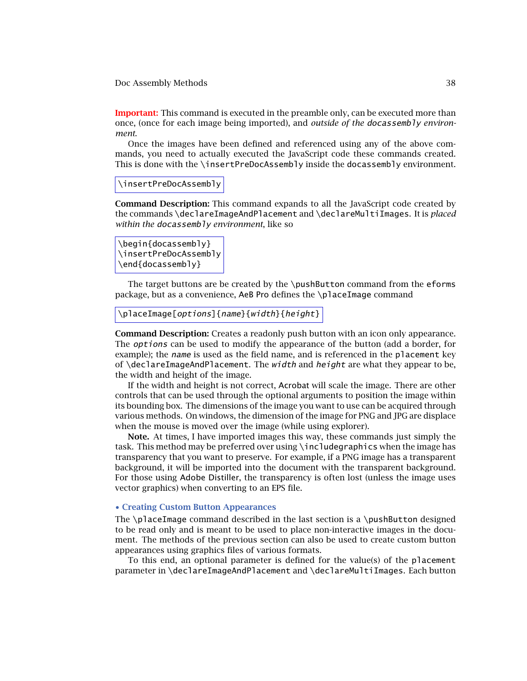<span id="page-37-0"></span>**Important:** This command is executed in the preamble only, can be executed more than once, (once for each image being imported), and *outside of the* docassembly *environment*.

Once the images have been defined and referenced using any of the above commands, you need to actually executed the JavaScript code these commands created. This is done with the \insertPreDocAssembly inside the docassembly environment.

\insertPreDocAssembly

**Command Description:** This command expands to all the JavaScript code created by the commands \declareImageAndPlacement and \declareMultiImages. It is *placed within the* docassembly *environment*, like so

```
\begin{docassembly}
\insertPreDocAssembly
\end{docassembly}
```
The target buttons are be created by the \pushButton command from the eforms package, but as a convenience, AeB Pro defines the \placeImage command

```
\placeImage[options]{name}{width}{height}
```
**Command Description:** Creates a readonly push button with an icon only appearance. The *options* can be used to modify the appearance of the button (add a border, for example); the name is used as the field name, and is referenced in the placement key of  $\delta$  declareImageAndPlacement. The *width* and *height* are what they appear to be, the width and height of the image.

If the width and height is not correct, Acrobat will scale the image. There are other controls that can be used through the optional arguments to position the image within its bounding box. The dimensions of the image you want to use can be acquired through various methods. On windows, the dimension of the image for PNG and JPG are displace when the mouse is moved over the image (while using explorer).

**Note.** At times, I have imported images this way, these commands just simply the task. This method may be preferred over using \includegraphics when the image has transparency that you want to preserve. For example, if a PNG image has a transparent background, it will be imported into the document with the transparent background. For those using Adobe Distiller, the transparency is often lost (unless the image uses vector graphics) when converting to an EPS file.

## • **Creating Custom Button Appearances**

The \placeImage command described in the last section is a \pushButton designed to be read only and is meant to be used to place non-interactive images in the document. The methods of the previous section can also be used to create custom button appearances using graphics files of various formats.

To this end, an optional parameter is defined for the value(s) of the placement parameter in \declareImageAndPlacement and \declareMultiImages. Each button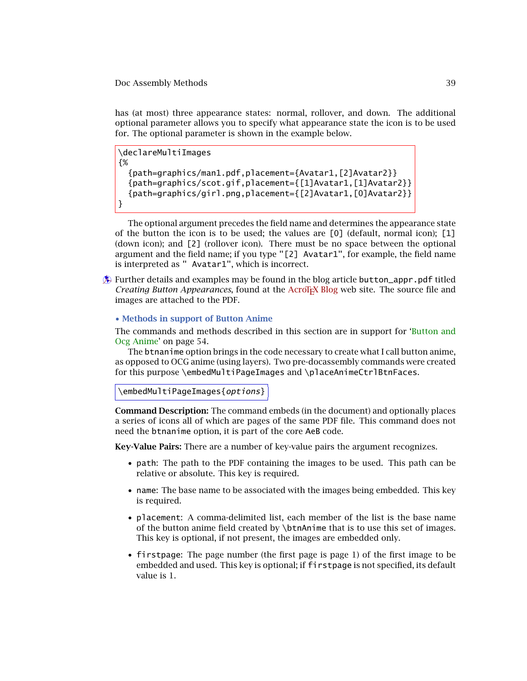<span id="page-38-0"></span>has (at most) three appearance states: normal, rollover, and down. The additional optional parameter allows you to specify what appearance state the icon is to be used for. The optional parameter is shown in the example below.

\declareMultiImages {% {path=graphics/man1.pdf,placement={Avatar1,[2]Avatar2}} {path=graphics/scot.gif,placement={[1]Avatar1,[1]Avatar2}} {path=graphics/girl.png,placement={[2]Avatar1,[0]Avatar2}} }

The optional argument precedes the field name and determines the appearance state of the button the icon is to be used; the values are [0] (default, normal icon); [1] (down icon); and [2] (rollover icon). There must be no space between the optional argument and the field name; if you type "[2] Avatar1", for example, the field name is interpreted as " Avatar1", which is incorrect.

 $\hat{\mathbf{A}}$  Further details and examples may be found in the blog article button\_appr.pdf titled *Creating Button Appearances*, found at the AcroT<sub>EX</sub> Blog web site. The source file and images are attached to the PDF.

# • **Methods in support of Button Anime**

[The commands and methods described in this section are in support for 'Button and](#page-53-0) Ocg Anime' on page 54.

The btnanime option brings in the code necessary to create what I call button anime, as opposed to OCG anime (using layers). Two pre-docassembly commands were created for this purpose \embedMultiPageImages and \placeAnimeCtrlBtnFaces.

```
\embedMultiPageImages{options}
```
**Command Description:** The command embeds (in the document) and optionally places a series of icons all of which are pages of the same PDF file. This command does not need the btnanime option, it is part of the core AeB code.

**Key-Value Pairs:** There are a number of key-value pairs the argument recognizes.

- path: The path to the PDF containing the images to be used. This path can be relative or absolute. This key is required.
- name: The base name to be associated with the images being embedded. This key is required.
- placement: A comma-delimited list, each member of the list is the base name of the button anime field created by \btnAnime that is to use this set of images. This key is optional, if not present, the images are embedded only.
- firstpage: The page number (the first page is page 1) of the first image to be embedded and used. This key is optional; if firstpage is not specified, its default value is 1.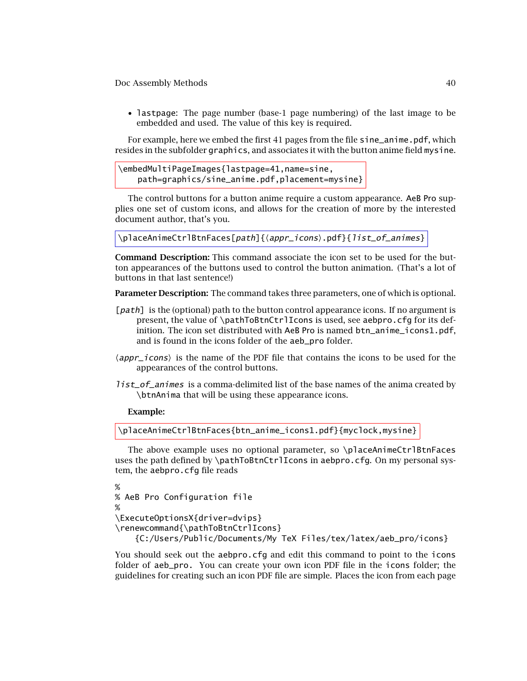• lastpage: The page number (base-1 page numbering) of the last image to be embedded and used. The value of this key is required.

For example, here we embed the first 41 pages from the file sine\_anime.pdf, which resides in the subfolder graphics, and associates it with the button anime field mysine.

```
\embedMultiPageImages{lastpage=41,name=sine,
    path=graphics/sine_anime.pdf,placement=mysine}
```
The control buttons for a button anime require a custom appearance. AeB Pro supplies one set of custom icons, and allows for the creation of more by the interested document author, that's you.

```
\placeAnimeCtrlBtnFaces[path]{(appr_icons).pdf}{list_of_animes}
```
**Command Description:** This command associate the icon set to be used for the button appearances of the buttons used to control the button animation. (That's a lot of buttons in that last sentence!)

**Parameter Description:** The command takes three parameters, one of which is optional.

- [*path*] is the (optional) path to the button control appearance icons. If no argument is present, the value of \pathToBtnCtrlIcons is used, see aebpro.cfg for its definition. The icon set distributed with AeB Pro is named btn\_anime\_icons1.pdf, and is found in the icons folder of the aeb\_pro folder.
- $\langle$ *appr*\_*icons* $\rangle$  is the name of the PDF file that contains the icons to be used for the appearances of the control buttons.
- list\_of\_animes is a comma-delimited list of the base names of the anima created by \btnAnima that will be using these appearance icons.

### **Example:**

\placeAnimeCtrlBtnFaces{btn\_anime\_icons1.pdf}{myclock,mysine}

The above example uses no optional parameter, so \placeAnimeCtrlBtnFaces uses the path defined by \pathToBtnCtrlIcons in aebpro.cfg. On my personal system, the aebpro.cfg file reads

```
%
% AeB Pro Configuration file
%
\ExecuteOptionsX{driver=dvips}
\renewcommand{\pathToBtnCtrlIcons}
    {C:/Users/Public/Documents/My TeX Files/tex/latex/aeb_pro/icons}
```
You should seek out the aebpro.cfg and edit this command to point to the icons folder of aeb\_pro. You can create your own icon PDF file in the icons folder; the guidelines for creating such an icon PDF file are simple. Places the icon from each page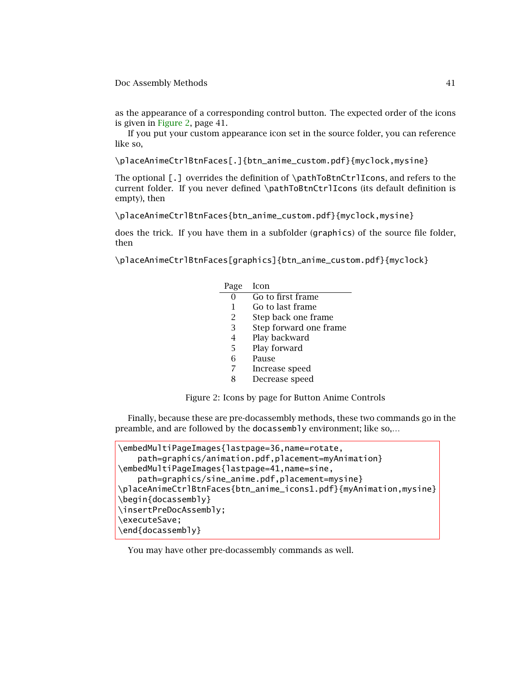as the appearance of a corresponding control button. The expected order of the icons is given in Figure 2, page 41.

If you put your custom appearance icon set in the source folder, you can reference like so,

\placeAnimeCtrlBtnFaces[.]{btn\_anime\_custom.pdf}{myclock,mysine}

The optional [.] overrides the definition of \pathToBtnCtrlIcons, and refers to the current folder. If you never defined \pathToBtnCtrlIcons (its default definition is empty), then

\placeAnimeCtrlBtnFaces{btn\_anime\_custom.pdf}{myclock,mysine}

does the trick. If you have them in a subfolder (graphics) of the source file folder, then

\placeAnimeCtrlBtnFaces[graphics]{btn\_anime\_custom.pdf}{myclock}

| Page | Icon                           |
|------|--------------------------------|
|      | $\overline{Go}$ to first frame |
| 1    | Go to last frame               |
| 2    | Step back one frame            |
| 3    | Step forward one frame         |
| 4    | Play backward                  |
| 5    | Play forward                   |
| 6    | Pause                          |
| 7    | Increase speed                 |
| x    | Decrease speed                 |
|      |                                |

Figure 2: Icons by page for Button Anime Controls

Finally, because these are pre-docassembly methods, these two commands go in the preamble, and are followed by the docassembly environment; like so,…

| \embedMultiPageImages{lastpage=36,name=rotate,                    |
|-------------------------------------------------------------------|
| path=graphics/animation.pdf,placement=myAnimation}                |
| \embedMultiPageImages{lastpage=41,name=sine,                      |
| path=graphics/sine_anime.pdf,placement=mysine}                    |
| \placeAnimeCtrlBtnFaces{btn_anime_icons1.pdf}{myAnimation,mysine} |
| \begin{docassembly}                                               |
| \insertPreDocAssembly;                                            |
| \executeSave;                                                     |
| \end{docassembly}                                                 |
|                                                                   |

You may have other pre-docassembly commands as well.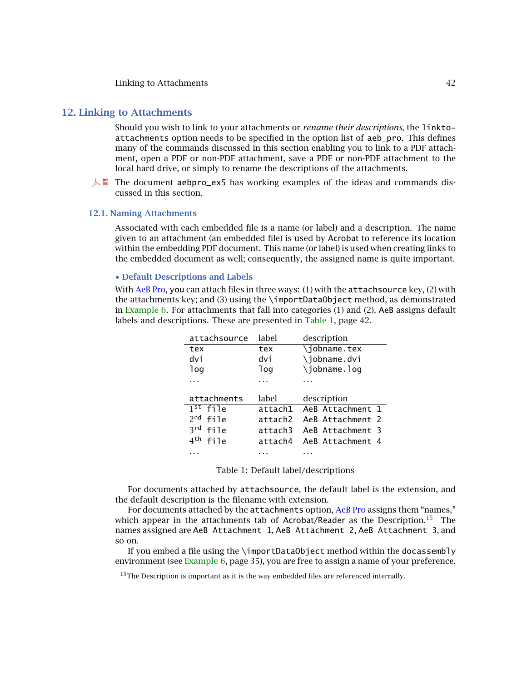# <span id="page-41-0"></span>**12. Linking to Attachments**

Should you wish to link to your attachments or *rename their descriptions*, the linktoattachments option needs to be specified in the option list of aeb\_pro. This defines many of the commands discussed in this section enabling you to link to a PDF attachment, open a PDF or non-PDF attachment, save a PDF or non-PDF attachment to the local hard drive, or simply to rename the descriptions of the attachments.

 $\Box$  The document aebpro\_ex5 has working examples of the ideas and commands discussed in this section.

#### **12.1. Naming Attachments**

Associated with each embedded file is a name (or label) and a description. The name given to an attachment (an embedded file) is used by Acrobat to reference its location within the embedding PDF document. This name (or label) is used when creating links to the embedded document as well; consequently, the assigned name is quite important.

#### • **Default Descriptions and Labels**

With AeB Pro, you can attach files in three ways:  $(1)$  with the attachsource key,  $(2)$  with the attachments key; and (3) using the \importDataObject method, as demonstrated in Example [6.](#page-34-0) For attachments that fall into categories (1) and (2), AeB assigns default labels and descriptions. These are presented in Table 1, page 42.

| attachsource            | label   | description      |
|-------------------------|---------|------------------|
| tex                     | tex     | \jobname.tex     |
| dvi                     | dvi     | \jobname.dvi     |
| log                     | log     | \jobname.loq     |
|                         |         |                  |
|                         |         |                  |
| attachments             | label   | description      |
| $1st$ file              | attach1 | AeB Attachment 1 |
| $2n$ d<br>file          | attach2 | AeB Attachment 2 |
| 3rd<br>file             | attach3 | AeB Attachment 3 |
| 4 <sup>th</sup><br>file | attach4 | AeB Attachment 4 |

Table 1: Default label/descriptions

For documents attached by attachsource, the default label is the extension, and the default description is the filename with extension.

For documents attached by the attachments option, AeB Pro assigns them "names," which appear in the attachments tab of Acrobat/Reader as the Description.<sup>15</sup> The names assigned are AeB Attachment 1, AeB Attachment 2, AeB Attachment 3, and so on.

If you embed a file using the \importDataObject method within the docassembly environment (see Example [6,](#page-34-0) page 35), you are free to assign a name of your preference.

 $15$ The Description is important as it is the way embedded files are referenced internally.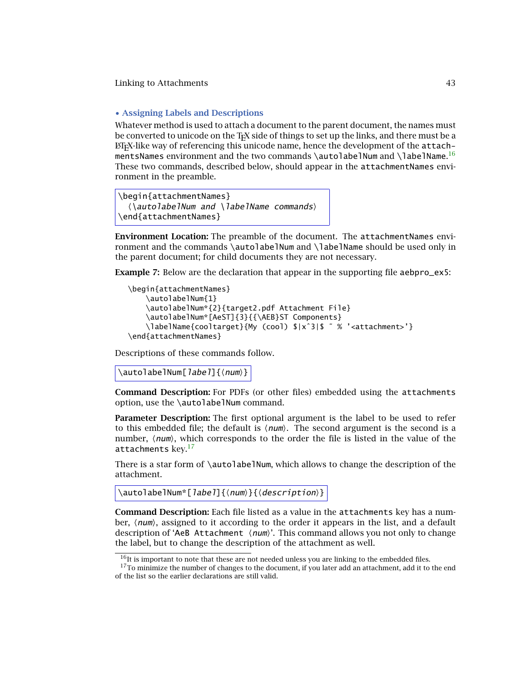# <span id="page-42-0"></span>• **Assigning Labels and Descriptions**

Whatever method is used to attach a document to the parent document, the names must be converted to unicode on the TEX side of things to set up the links, and there must be a  $ETr[X]$ -like way of referencing this unicode name, hence the development of the attachmentsNames <code>environment</code> and the two commands <code>\autolabelNum</code> and <code>\labelName. $^{16}$ </code> These two commands, described below, should appear in the attachmentNames environment in the preamble.

```
\begin{attachmentNames}
  \langle\autolabelNum and \langle\labelName commands\rangle\end{attachmentNames}
```
**Environment Location:** The preamble of the document. The attachmentNames environment and the commands \autolabelNum and \labelName should be used only in the parent document; for child documents they are not necessary.

**Example 7:** Below are the declaration that appear in the supporting file aebpro\_ex5:

```
\begin{attachmentNames}
    \autolabelNum{1}
    \autolabelNum*{2}{target2.pdf Attachment File}
    \autolabelNum*[AeST]{3}{{\AEB}ST Components}
    \labelName{cooltarget}{My (cool) $|xˆ3|$ ˜ % '<attachment>'}
\end{attachmentNames}
```
Descriptions of these commands follow.

\autolabelNum[*label*]{\*num*}}

**Command Description:** For PDFs (or other files) embedded using the attachments option, use the \autolabelNum command.

**Parameter Description:** The first optional argument is the label to be used to refer to this embedded file; the default is  $\langle num \rangle$ . The second argument is the second is a number,  $\langle num \rangle$ , which corresponds to the order the file is listed in the value of the attachments key.17

There is a star form of  $\lambda$ utolabelNum, which allows to change the description of the attachment.

```
\{\alpha\} \autolabelNum*[label]\{\langle \textit{description} \rangle\}
```
**Command Description:** Each file listed as a value in the attachments key has a number, *(num*), assigned to it according to the order it appears in the list, and a default description of **'AeB** Attachment *(num)*'. This command allows you not only to change the label, but to change the description of the attachment as well.

 $16$ It is important to note that these are not needed unless you are linking to the embedded files.

 $17$ To minimize the number of changes to the document, if you later add an attachment, add it to the end of the list so the earlier declarations are still valid.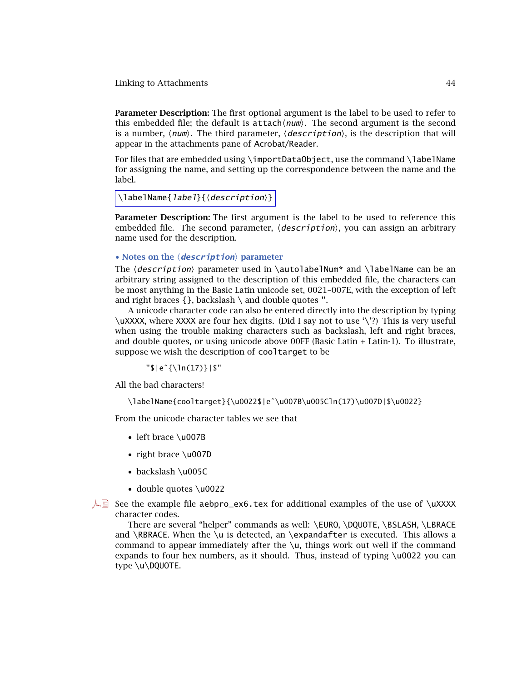<span id="page-43-0"></span>**Parameter Description:** The first optional argument is the label to be used to refer to this embedded file; the default is  ${\sf attach}\langle \textit{num} \rangle$ . The second argument is the second is a number,  $\langle num \rangle$ . The third parameter,  $\langle description \rangle$ , is the description that will appear in the attachments pane of Acrobat/Reader.

For files that are embedded using \importDataObject, use the command \labelName for assigning the name, and setting up the correspondence between the name and the label.

```
\labelName{label}{(description)}
```
**Parameter Description:** The first argument is the label to be used to reference this embedded file. The second parameter,  $\langle description \rangle$ , you can assign an arbitrary name used for the description.

# • Notes on the  $\langle$  *description* $\rangle$  parameter

The  $\text{\emph{description}}$  parameter used in  $\text{\emph{author}}$  and  $\text{\emph{labelName}}$  can be an arbitrary string assigned to the description of this embedded file, the characters can be most anything in the Basic Latin unicode set, 0021–007E, with the exception of left and right braces  $\{\}$ , backslash \ and double quotes ".

A unicode character code can also be entered directly into the description by typing \uXXXX, where XXXX are four hex digits. (Did I say not to use '\'?) This is very useful when using the trouble making characters such as backslash, left and right braces, and double quotes, or using unicode above 00FF (Basic Latin + Latin-1). To illustrate, suppose we wish the description of cooltarget to be

"\$|eˆ{\ln(17)}|\$"

All the bad characters!

\labelName{cooltarget}{\u0022\$|eˆ\u007B\u005Cln(17)\u007D|\$\u0022}

From the unicode character tables we see that

- left brace \u007B
- right brace \u007D
- backslash \u005C
- double quotes \u0022

 $\Box$  See the example file aebpro\_ex6.tex for additional examples of the use of \uXXXX character codes.

There are several "helper" commands as well: \EURO, \DQUOTE, \BSLASH, \LBRACE and \RBRACE. When the \u is detected, an \expandafter is executed. This allows a command to appear immediately after the \u, things work out well if the command expands to four hex numbers, as it should. Thus, instead of typing  $\u0022$  you can type \u\DQUOTE.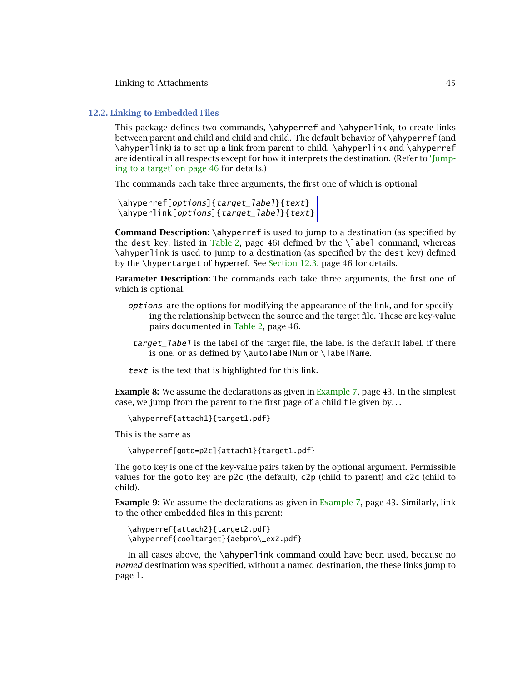### <span id="page-44-0"></span>**12.2. Linking to Embedded Files**

This package defines two commands, \ahyperref and \ahyperlink, to create links between parent and child and child and child. The default behavior of \ahyperref (and \ahyperlink) is to set up a link from parent to child. \ahyperlink and \ahyperref [are identical in all respects except for how it interprets the destination. \(Refer to](#page-45-0) 'Jumping to a target' on page 46 for details.)

The commands each take three arguments, the first one of which is optional

```
\ahyperref[options]{target_label}{text}
\ahyperlink[options]{target_label}{text}
```
**Command Description:** \ahyperref is used to jump to a destination (as specified by the dest key, listed in [Table 2,](#page-45-0) page 46) defined by the  $\lambda$  abel command, whereas \ahyperlink is used to jump to a destination (as specified by the dest key) defined by the \hypertarget of hyperref. See [Section 12.3,](#page-45-0) page 46 for details.

**Parameter Description:** The commands each take three arguments, the first one of which is optional.

- options are the options for modifying the appearance of the link, and for specifying the relationship between the source and the target file. These are key-value pairs documented in [Table 2,](#page-45-0) page 46.
- target\_label is the label of the target file, the label is the default label, if there is one, or as defined by  $\auto$ labelNum or  $\label{eq:1}$  labelName.
- text is the text that is highlighted for this link.

**Example 8:** We assume the declarations as given in [Example 7,](#page-42-0) page 43. In the simplest case, we jump from the parent to the first page of a child file given by*...*

```
\ahyperref{attach1}{target1.pdf}
```
This is the same as

```
\ahyperref[goto=p2c]{attach1}{target1.pdf}
```
The goto key is one of the key-value pairs taken by the optional argument. Permissible values for the goto key are p2c (the default), c2p (child to parent) and c2c (child to child).

**Example 9:** We assume the declarations as given in [Example 7,](#page-42-0) page 43. Similarly, link to the other embedded files in this parent:

```
\ahyperref{attach2}{target2.pdf}
\ahyperref{cooltarget}{aebpro\_ex2.pdf}
```
In all cases above, the \ahyperlink command could have been used, because no *named* destination was specified, without a named destination, the these links jump to page 1.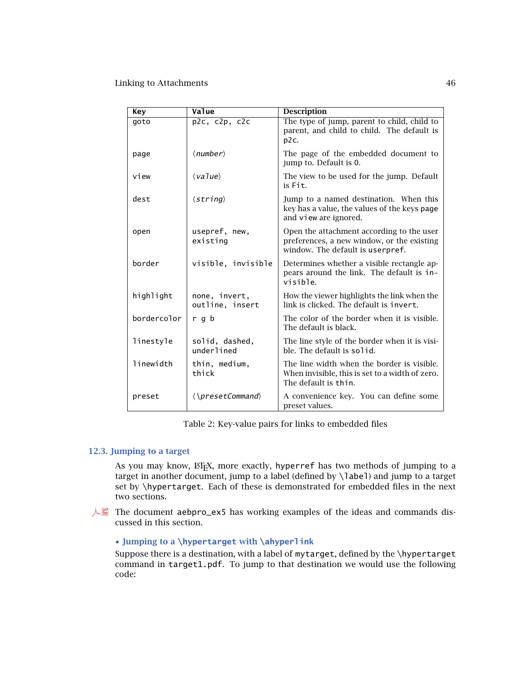<span id="page-45-0"></span>

| Key         | Value                             | <b>Description</b>                                                                                                          |
|-------------|-----------------------------------|-----------------------------------------------------------------------------------------------------------------------------|
| goto        | $p2c$ , $c2p$ , $c2c$             | The type of jump, parent to child, child to<br>parent, and child to child. The default is<br>p2c.                           |
| page        | $\langle$ <i>number</i> $\rangle$ | The page of the embedded document to<br>jump to. Default is 0.                                                              |
| view        | $\langle value \rangle$           | The view to be used for the jump. Default<br>is Fit.                                                                        |
| dest        | $\langle string \rangle$          | Jump to a named destination. When this<br>key has a value, the values of the keys page<br>and view are ignored.             |
| open        | usepref, new,<br>existing         | Open the attachment according to the user<br>preferences, a new window, or the existing<br>window. The default is userpref. |
| border      | visible, invisible                | Determines whether a visible rectangle ap-<br>pears around the link. The default is in-<br>visible.                         |
| highlight   | none, invert,<br>outline, insert  | How the viewer highlights the link when the<br>link is clicked. The default is invert.                                      |
| bordercolor | r q b                             | The color of the border when it is visible.<br>The default is black.                                                        |
| linestyle   | solid, dashed,<br>underlined      | The line style of the border when it is visi-<br>ble. The default is solid.                                                 |
| linewidth   | thin, medium,<br>thick            | The line width when the border is visible.<br>When invisible, this is set to a width of zero.<br>The default is thin.       |
| preset      | $\langle$ \presetCommand\         | A convenience key. You can define some<br>preset values.                                                                    |

Table 2: Key-value pairs for links to embedded files

# **12.3. Jumping to a target**

As you may know,  $\Delta F$ <sub>E</sub>X, more exactly, hyperref has two methods of jumping to a target in another document, jump to a label (defined by \label) and jump to a target set by \hypertarget. Each of these is demonstrated for embedded files in the next two sections.

 $\Box$  The document aebpro\_ex5 has working examples of the ideas and commands discussed in this section.

# • **Jumping to a \hypertarget with \ahyperlink**

Suppose there is a destination, with a label of mytarget, defined by the \hypertarget command in target1.pdf. To jump to that destination we would use the following code: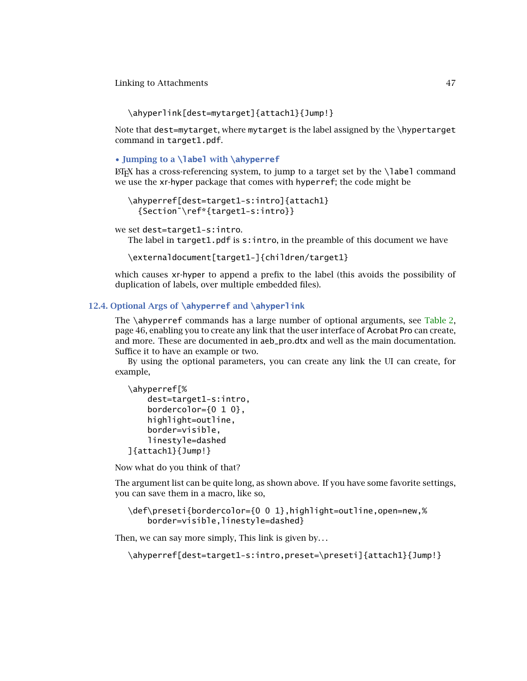<span id="page-46-0"></span>\ahyperlink[dest=mytarget]{attach1}{Jump!}

Note that dest=mytarget, where mytarget is the label assigned by the \hypertarget command in target1.pdf.

# • **Jumping to a \label with \ahyperref**

 $E_{\text{L}}$  has a cross-referencing system, to jump to a target set by the  $\lambda$ label command we use the xr-hyper package that comes with hyperref; the code might be

```
\ahyperref[dest=target1-s:intro]{attach1}
  {Section˜\ref*{target1-s:intro}}
```
we set dest=target1-s:intro.

The label in target1.pdf is  $s:$ intro, in the preamble of this document we have

\externaldocument[target1-]{children/target1}

which causes xr-hyper to append a prefix to the label (this avoids the possibility of duplication of labels, over multiple embedded files).

# **12.4. Optional Args of \ahyperref and \ahyperlink**

The \ahyperref commands has a large number of optional arguments, see [Table 2,](#page-45-0) page 46, enabling you to create any link that the user interface of Acrobat Pro can create, and more. These are documented in aeb\_pro.dtx and well as the main documentation. Suffice it to have an example or two.

By using the optional parameters, you can create any link the UI can create, for example,

```
\ahyperref[%
    dest=target1-s:intro,
    bordercolor=\{0, 1, 0\},
    highlight=outline,
    border=visible,
    linestyle=dashed
]{attach1}{Jump!}
```
Now what do you think of that?

The argument list can be quite long, as shown above. If you have some favorite settings, you can save them in a macro, like so,

```
\def\preseti{bordercolor={0 0 1},highlight=outline,open=new,%
   border=visible,linestyle=dashed}
```
Then, we can say more simply, This link is given by*...*

\ahyperref[dest=target1-s:intro,preset=\preseti]{attach1}{Jump!}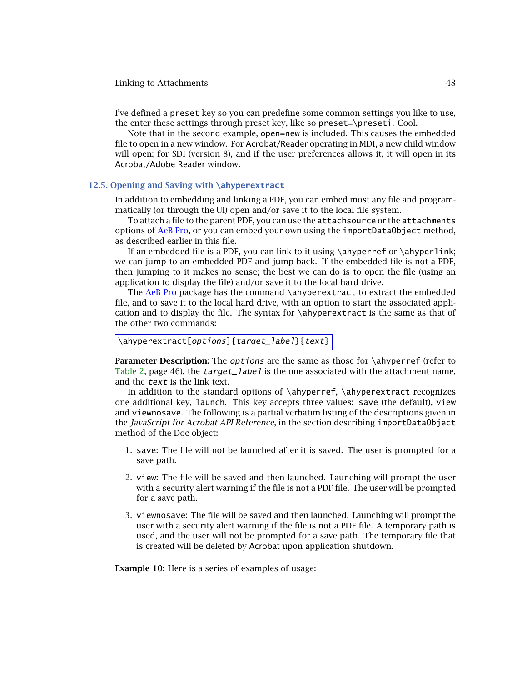<span id="page-47-0"></span>I've defined a preset key so you can predefine some common settings you like to use, the enter these settings through preset key, like so preset=\preseti. Cool.

Note that in the second example, open=new is included. This causes the embedded file to open in a new window. For Acrobat/Reader operating in MDI, a new child window will open; for SDI (version 8), and if the user preferences allows it, it will open in its Acrobat/Adobe Reader window.

# **12.5. Opening and Saving with \ahyperextract**

In addition to embedding and linking a PDF, you can embed most any file and programmatically (or through the UI) open and/or save it to the local file system.

To attach a file to the parent PDF, you can use the attachsource or the attachments options of AeB Pro, or you can embed your own using the importDataObject method, as described earlier in this file.

If an embedded file is a PDF, you can link to it using  $\ahyperref$  or  $\ahyperlift;$ we can jump to an embedded PDF and jump back. If the embedded file is not a PDF, then jumping to it makes no sense; the best we can do is to open the file (using an application to display the file) and/or save it to the local hard drive.

The AeB Pro package has the command \ahyperextract to extract the embedded file, and to save it to the local hard drive, with an option to start the associated application and to display the file. The syntax for  $\alpha$  tahyperextract is the same as that of the other two commands:

```
\ahyperextract[options]{target_label}{text}
```
**Parameter Description:** The *options* are the same as those for \ahyperref (refer to [Table 2,](#page-45-0) page 46), the  $target$  able is the one associated with the attachment name, and the text is the link text.

In addition to the standard options of \ahyperref, \ahyperextract recognizes one additional key, launch. This key accepts three values: save (the default), view and viewnosave. The following is a partial verbatim listing of the descriptions given in the *JavaScript for Acrobat API Reference*, in the section describing importDataObject method of the Doc object:

- 1. save: The file will not be launched after it is saved. The user is prompted for a save path.
- 2. view: The file will be saved and then launched. Launching will prompt the user with a security alert warning if the file is not a PDF file. The user will be prompted for a save path.
- 3. viewnosave: The file will be saved and then launched. Launching will prompt the user with a security alert warning if the file is not a PDF file. A temporary path is used, and the user will not be prompted for a save path. The temporary file that is created will be deleted by Acrobat upon application shutdown.

**Example 10:** Here is a series of examples of usage: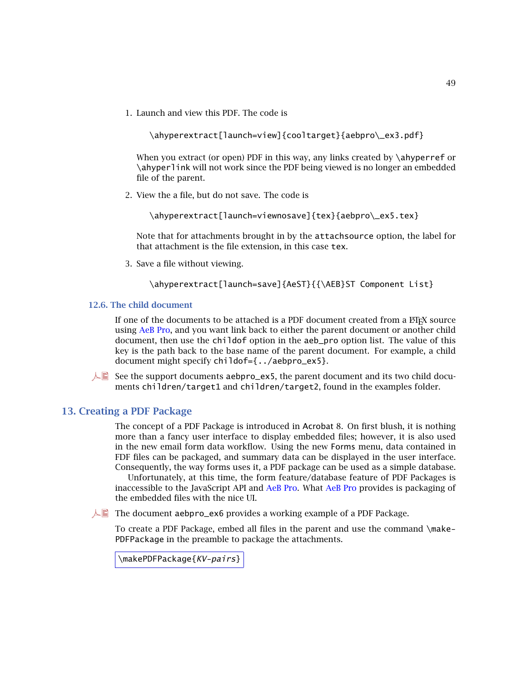<span id="page-48-0"></span>1. Launch and view this PDF. The code is

\ahyperextract[launch=view]{cooltarget}{aebpro\\_ex3.pdf}

When you extract (or open) PDF in this way, any links created by \ahyperref or \ahyperlink will not work since the PDF being viewed is no longer an embedded file of the parent.

2. View the a file, but do not save. The code is

\ahyperextract[launch=viewnosave]{tex}{aebpro\\_ex5.tex}

Note that for attachments brought in by the attachsource option, the label for that attachment is the file extension, in this case tex.

3. Save a file without viewing.

\ahyperextract[launch=save]{AeST}{{\AEB}ST Component List}

### **12.6. The child document**

If one of the documents to be attached is a PDF document created from a  $ETr X$  source using AeB Pro, and you want link back to either the parent document or another child document, then use the childof option in the aeb\_pro option list. The value of this key is the path back to the base name of the parent document. For example, a child document might specify childof={../aebpro\_ex5}.

 $\mathbb{A}$  See the support documents aebpro\_ex5, the parent document and its two child documents children/target1 and children/target2, found in the examples folder.

# **13. Creating a PDF Package**

The concept of a PDF Package is introduced in Acrobat 8. On first blush, it is nothing more than a fancy user interface to display embedded files; however, it is also used in the new email form data workflow. Using the new Forms menu, data contained in FDF files can be packaged, and summary data can be displayed in the user interface. Consequently, the way forms uses it, a PDF package can be used as a simple database.

Unfortunately, at this time, the form feature/database feature of PDF Packages is inaccessible to the JavaScript API and AeB Pro. What AeB Pro provides is packaging of the embedded files with the nice UI.

 $\Box$  The document aebpro\_ex6 provides a working example of a PDF Package.

To create a PDF Package, embed all files in the parent and use the command \make-PDFPackage in the preamble to package the attachments.

```
\makePDFPackage{KV-pairs}
```
49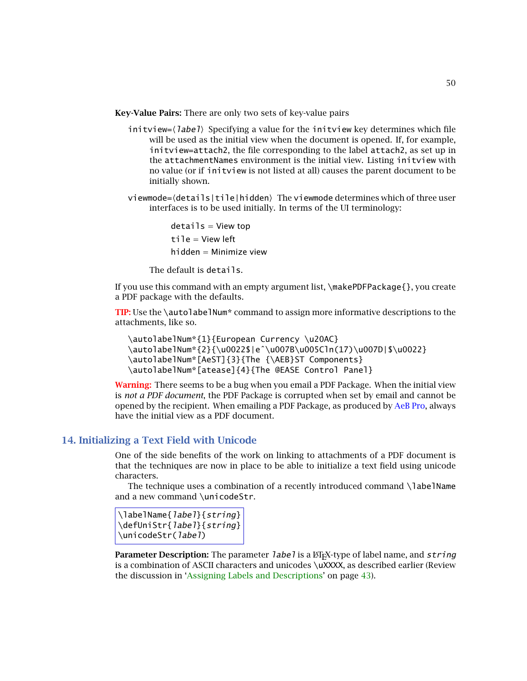<span id="page-49-0"></span>**Key-Value Pairs:** There are only two sets of key-value pairs

- $\textsf{initview} = \langle \textit{label} \rangle$  Specifying a value for the initview key determines which file will be used as the initial view when the document is opened. If, for example, initview=attach2, the file corresponding to the label attach2, as set up in the attachmentNames environment is the initial view. Listing initview with no value (or if initview is not listed at all) causes the parent document to be initially shown.
- viewmode={details|tile|hidden} The viewmode determines which of three user interfaces is to be used initially. In terms of the UI terminology:

 $details = View top$ tile = View left hidden = Minimize view

The default is details.

If you use this command with an empty argument list, \makePDFPackage{}, you create a PDF package with the defaults.

**TIP:** Use the \autolabelNum\* command to assign more informative descriptions to the attachments, like so.

```
\autolabelNum*{1}{European Currency \u20AC}
\autolabelNum*{2}{\u0022$|e^\u007B\u005Cln(17)\u007D|$\u0022}
\autolabelNum*[AeST]{3}{The {\AEB}ST Components}
\autolabelNum*[atease]{4}{The @EASE Control Panel}
```
**Warning:** There seems to be a bug when you email a PDF Package. When the initial view is *not a PDF document*, the PDF Package is corrupted when set by email and cannot be opened by the recipient. When emailing a PDF Package, as produced by AeB Pro, always have the initial view as a PDF document.

# **14. Initializing a Text Field with Unicode**

One of the side benefits of the work on linking to attachments of a PDF document is that the techniques are now in place to be able to initialize a text field using unicode characters.

The technique uses a combination of a recently introduced command \labelName and a new command \unicodeStr.

```
\labelName{label}{string}
\defUniStr{label}{string}
\unicodeStr(label)
```
**Parameter Description:** The parameter *label* is a  $\text{E}$ <sub>I</sub>X-type of label name, and *string* is a combination of ASCII characters and unicodes \uXXXX, as described earlier (Review the discussion in ['Assigning Labels and Descriptions'](#page-42-0) on page [43\)](#page-42-0).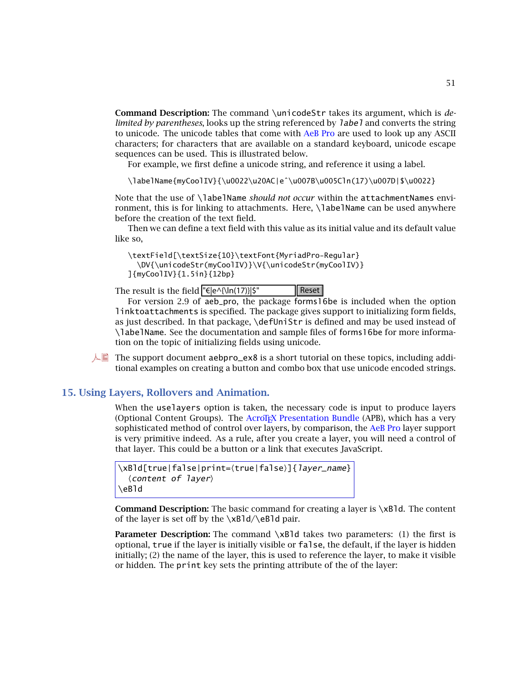<span id="page-50-0"></span>**Command Description:** The command \unicodeStr takes its argument, which is *delimited by parentheses*, looks up the string referenced by label and converts the string to unicode. The unicode tables that come with AeB Pro are used to look up any ASCII characters; for characters that are available on a standard keyboard, unicode escape sequences can be used. This is illustrated below.

For example, we first define a unicode string, and reference it using a label.

\labelName{myCoolIV}{\u0022\u20AC|eˆ\u007B\u005Cln(17)\u007D|\$\u0022}

Note that the use of \labelName *should not occur* within the attachmentNames environment, this is for linking to attachments. Here, \labelName can be used anywhere before the creation of the text field.

Then we can define a text field with this value as its initial value and its default value like so,

```
\textField[\textSize{10}\textFont{MyriadPro-Regular}
  \DV{\unicodeStr(myCoolIV)}\V{\unicodeStr(myCoolIV)}
]{myCoolIV}{1.5in}{12bp}
```
The result is the field  $\left|\frac{e}{\epsilon}\right| \leq \left|\frac{1}{2}\right|$   $\left|\frac{1}{2}\right| \leq \frac{1}{2}$ 

For version 2.9 of aeb\_pro, the package forms16be is included when the option linktoattachments is specified. The package gives support to initializing form fields, as just described. In that package, \defUniStr is defined and may be used instead of \labelName. See the documentation and sample files of forms16be for more information on the topic of initializing fields using unicode.

 $\Box$  The support document aebpro\_ex8 is a short tutorial on these topics, including additional examples on creating a button and combo box that use unicode encoded strings.

# **15. Using Layers, Rollovers and Animation.**

When the uselayers option is taken, the necessary code is input to produce layers (Optional Content Groups). The AcroT<sub>E</sub>X Presentation Bundle (APB), which has a very sophisticated method of control over layers, by comparison, the AeB Pro layer support is very primitive indeed. As a rule, after you create a layer, you will need a control of that layer. This could be a button or a link that executes JavaScript.

```
\xBld[true|false|print={true|false}]{layer_name}
  \langle content of layer\rangle\eBld
```
**Command Description:** The basic command for creating a layer is \xBld. The content of the layer is set off by the  $\xBd/\eeB1d$  pair.

**Parameter Description:** The command  $xB1d$  takes two parameters: (1) the first is optional, true if the layer is initially visible or false, the default, if the layer is hidden initially; (2) the name of the layer, this is used to reference the layer, to make it visible or hidden. The print key sets the printing attribute of the of the layer: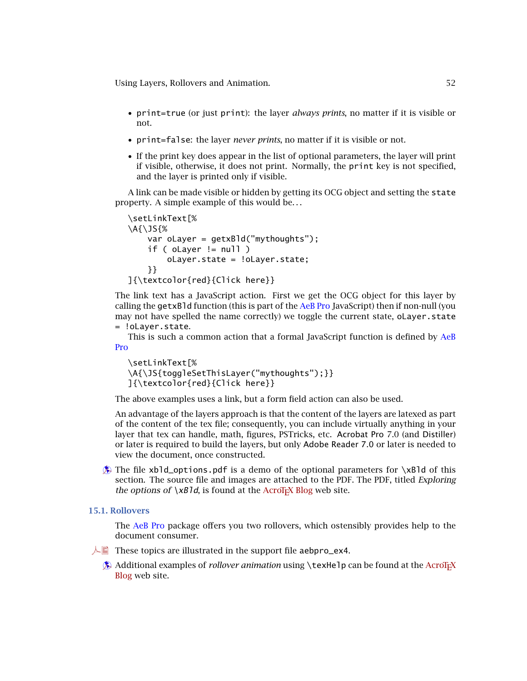<span id="page-51-0"></span>Using Layers, Rollovers and Animation. 52

- print=true (or just print): the layer *always prints*, no matter if it is visible or not.
- print=false: the layer *never prints*, no matter if it is visible or not.
- If the print key does appear in the list of optional parameters, the layer will print if visible, otherwise, it does not print. Normally, the print key is not specified, and the layer is printed only if visible.

A link can be made visible or hidden by getting its OCG object and setting the state property. A simple example of this would be*...*

```
\setLinkText[%
\A{\JS{%
    var oLayer = getxBld("mythoughts");
    if ( oLayer != null )
        oLayer.state = !oLayer.state;
    }}
]{\textcolor{red}{Click here}}
```
The link text has a JavaScript action. First we get the OCG object for this layer by calling the getxBld function (this is part of the AeB Pro JavaScript) then if non-null (you may not have spelled the name correctly) we toggle the current state, oLayer.state = !oLayer.state.

This is such a common action that a formal JavaScript function is defined by AeB Pro

```
\setLinkText[%
\A{\JS{toggleSetThisLayer("mythoughts");}}
]{\textcolor{red}{Click here}}
```
The above examples uses a link, but a form field action can also be used.

An advantage of the layers approach is that the content of the layers are latexed as part of the content of the tex file; consequently, you can include virtually anything in your layer that tex can handle, math, figures, PSTricks, etc. Acrobat Pro 7.0 (and Distiller) or later is required to build the layers, but only Adobe Reader 7.0 or later is needed to view the document, once constructed.

 $\hat{\mathbf{B}}$  The file xbld\_options.pdf is a demo of the optional parameters for \xBld of this section. The source file and images are attached to the PDF. The PDF, titled *Exploring the options of*  $xB1d$ , is found at the AcroT<sub>E</sub>X Blog web site.

# **15.1. Rollovers**

The AeB Pro package offers you two rollovers, which ostensibly provides help to the document consumer.

- $\Box$  These topics are illustrated in the support file aebpro\_ex4.
	- **[Additional examples of](http://www.acrotex.net/blog)** *rollover animation* using **\texHelp** can be found at the AcroTEX Blog web site.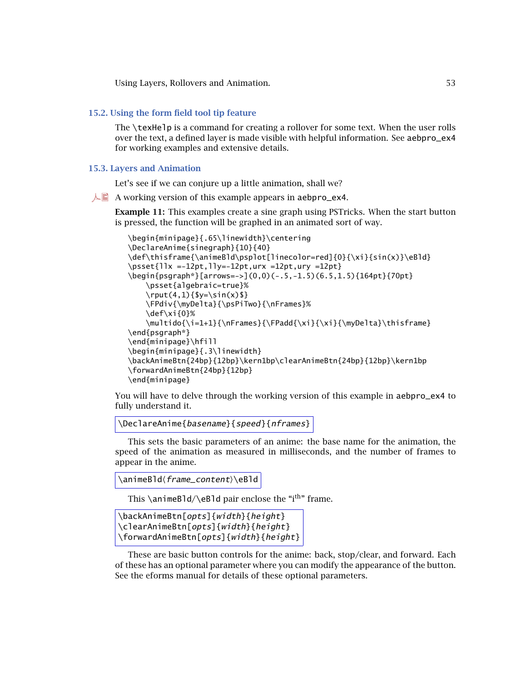<span id="page-52-0"></span>Using Layers, Rollovers and Animation. 53

# **15.2. Using the form field tool tip feature**

The \texHelp is a command for creating a rollover for some text. When the user rolls over the text, a defined layer is made visible with helpful information. See aebpro\_ex4 for working examples and extensive details.

# **15.3. Layers and Animation**

Let's see if we can conjure up a little animation, shall we?

 $\mathbb{A}$  A working version of this example appears in aebpro\_ex4.

**Example 11:** This examples create a sine graph using PSTricks. When the start button is pressed, the function will be graphed in an animated sort of way.

```
\begin{minipage}{.65\linewidth}\centering
\DeclareAnime{sinegraph}{10}{40}
\def\thisframe{\animeBld\psplot[linecolor=red]{0}{\xi}{sin(x)}\eBld}
\text{llx} = -12pt, lly=-12pt,urx =12pt,ury =12pt}\begin{psgraph*}[arrows=->](0,0)(-.5,-1.5)(6.5,1.5){164pt}{70pt}
    \psset{algebraic=true}%
    \rput(4,1){ {$y=\sin(x) $}
    \FPdiv{\myDelta}{\psPiTwo}{\nFrames}%
    \def\xi{0}%
    \multido{\i=1+1}{\nFrames}{\FPadd{\xi}{\xi}{\myDelta}\thisframe}
\end{psgraph*}
\end{minipage}\hfill
\begin{minipage}{.3\linewidth}
\backAnimeBtn{24bp}{12bp}\kern1bp\clearAnimeBtn{24bp}{12bp}\kern1bp
\forwardAnimeBtn{24bp}{12bp}
\end{minipage}
```
You will have to delve through the working version of this example in aebpro\_ex4 to fully understand it.

```
\DeclareAnime{basename}{speed}{nframes}
```
This sets the basic parameters of an anime: the base name for the animation, the speed of the animation as measured in milliseconds, and the number of frames to appear in the anime.

```
\animeBld(frame_content)\eBld
```
This  $\alpha$ Bld/ $\epsilon$ Bld pair enclose the "i<sup>th</sup>" frame.

```
\backAnimeBtn[opts]{width}{height}
\clearAnimeBtn[opts]{width}{height}
\forwardAnimeBtn[opts]{width}{height}
```
These are basic button controls for the anime: back, stop/clear, and forward. Each of these has an optional parameter where you can modify the appearance of the button. See the eforms manual for details of these optional parameters.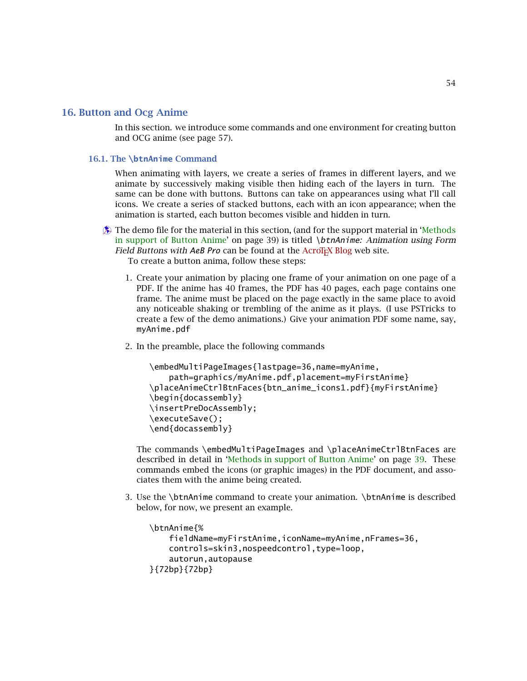<span id="page-53-0"></span>In this section. we introduce some commands and one environment for creating button and OCG anime (see page 57).

# **16.1. The \btnAnime Command**

When animating with layers, we create a series of frames in different layers, and we animate by successively making visible then hiding each of the layers in turn. The same can be done with buttons. Buttons can take on appearances using what I'll call icons. We create a series of stacked buttons, each with an icon appearance; when the animation is started, each button becomes visible and hidden in turn.

 $\circledast$  [The demo file for the material in this section, \(and for the support material in 'Methods](#page-38-0)' in support of Button Anime' on page 39) is titled \btnAnime*: Animation using Form Field Buttons with AeB Pro* can be found at the AcroT<sub>E</sub>X Blog web site.

To create a button anima, follow these steps:

- 1. Create your animation by placing one frame of your animation on one page of a PDF. If the anime has 40 frames, the PDF has 40 pages, each page contains one frame. The anime must be placed on the page exactly in the same place to avoid any noticeable shaking or trembling of the anime as it plays. (I use PSTricks to create a few of the demo animations.) Give your animation PDF some name, say, myAnime.pdf
- 2. In the preamble, place the following commands

```
\embedMultiPageImages{lastpage=36,name=myAnime,
    path=graphics/myAnime.pdf,placement=myFirstAnime}
\placeAnimeCtrlBtnFaces{btn_anime_icons1.pdf}{myFirstAnime}
\begin{docassembly}
\insertPreDocAssembly;
\executeSave();
\end{docassembly}
```
The commands \embedMultiPageImages and \placeAnimeCtrlBtnFaces are described in detail in ['Methods in support of Button Anime'](#page-38-0) on page [39.](#page-38-0) These commands embed the icons (or graphic images) in the PDF document, and associates them with the anime being created.

3. Use the \btnAnime command to create your animation. \btnAnime is described below, for now, we present an example.

```
\btnAnime{%
    fieldName=myFirstAnime,iconName=myAnime,nFrames=36,
    controls=skin3,nospeedcontrol,type=loop,
    autorun,autopause
}{72bp}{72bp}
```
54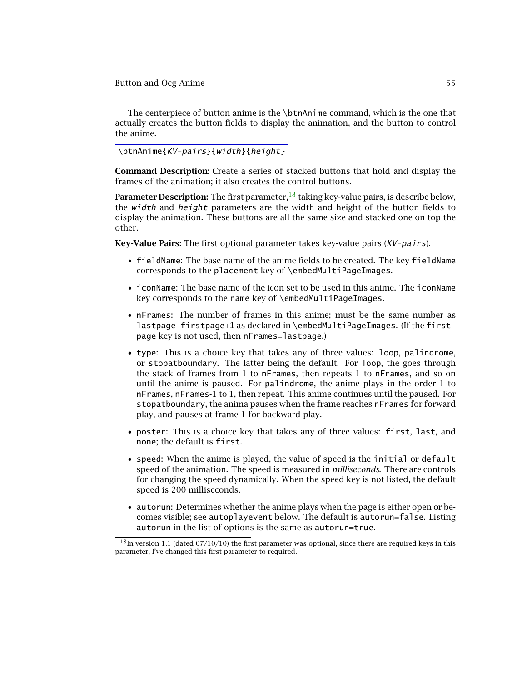The centerpiece of button anime is the \btnAnime command, which is the one that actually creates the button fields to display the animation, and the button to control the anime.

\btnAnime{KV-pairs}{width}{height}

**Command Description:** Create a series of stacked buttons that hold and display the frames of the animation; it also creates the control buttons.

**Parameter Description:** The first parameter,<sup>18</sup> taking key-value pairs, is describe below, the width and height parameters are the width and height of the button fields to display the animation. These buttons are all the same size and stacked one on top the other.

**Key-Value Pairs:** The first optional parameter takes key-value pairs (KV-pairs).

- fieldName: The base name of the anime fields to be created. The key fieldName corresponds to the placement key of \embedMultiPageImages.
- iconName: The base name of the icon set to be used in this anime. The iconName key corresponds to the name key of \embedMultiPageImages.
- nFrames: The number of frames in this anime; must be the same number as lastpage-firstpage+1 as declared in \embedMultiPageImages. (If the firstpage key is not used, then nFrames=lastpage.)
- type: This is a choice key that takes any of three values: loop, palindrome, or stopatboundary. The latter being the default. For loop, the goes through the stack of frames from 1 to nFrames, then repeats 1 to nFrames, and so on until the anime is paused. For palindrome, the anime plays in the order 1 to nFrames, nFrames-1 to 1, then repeat. This anime continues until the paused. For stopatboundary, the anima pauses when the frame reaches nFrames for forward play, and pauses at frame 1 for backward play.
- poster: This is a choice key that takes any of three values: first, last, and none; the default is first.
- speed: When the anime is played, the value of speed is the initial or default speed of the animation. The speed is measured in *milliseconds*. There are controls for changing the speed dynamically. When the speed key is not listed, the default speed is 200 milliseconds.
- autorun: Determines whether the anime plays when the page is either open or becomes visible; see autoplayevent below. The default is autorun=false. Listing autorun in the list of options is the same as autorun=true.

 $^{18}$ In version 1.1 (dated 07/10/10) the first parameter was optional, since there are required keys in this parameter, I've changed this first parameter to required.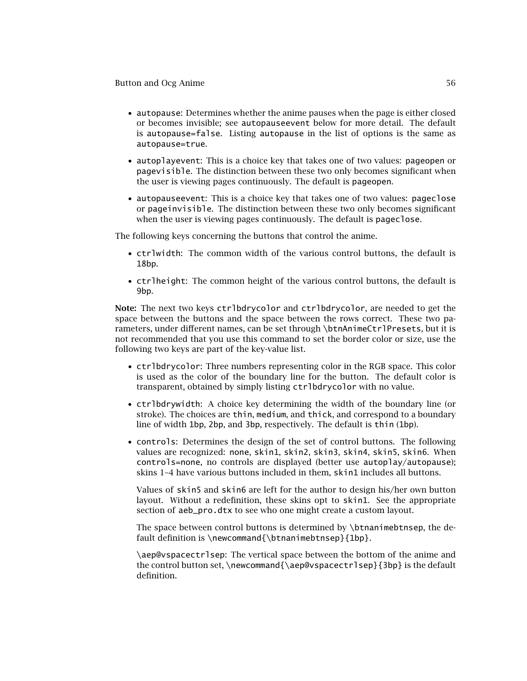- autopause: Determines whether the anime pauses when the page is either closed or becomes invisible; see autopauseevent below for more detail. The default is autopause=false. Listing autopause in the list of options is the same as autopause=true.
- autoplayevent: This is a choice key that takes one of two values: pageopen or pagevisible. The distinction between these two only becomes significant when the user is viewing pages continuously. The default is pageopen.
- autopauseevent: This is a choice key that takes one of two values: pageclose or pageinvisible. The distinction between these two only becomes significant when the user is viewing pages continuously. The default is pageclose.

The following keys concerning the buttons that control the anime.

- ctrlwidth: The common width of the various control buttons, the default is 18bp.
- ctrlheight: The common height of the various control buttons, the default is 9bp.

**Note:** The next two keys ctrlbdrycolor and ctrlbdrycolor, are needed to get the space between the buttons and the space between the rows correct. These two parameters, under different names, can be set through \btnAnimeCtrlPresets, but it is not recommended that you use this command to set the border color or size, use the following two keys are part of the key-value list.

- ctrlbdrycolor: Three numbers representing color in the RGB space. This color is used as the color of the boundary line for the button. The default color is transparent, obtained by simply listing ctrlbdrycolor with no value.
- ctrlbdrywidth: A choice key determining the width of the boundary line (or stroke). The choices are thin, medium, and thick, and correspond to a boundary line of width 1bp, 2bp, and 3bp, respectively. The default is thin (1bp).
- controls: Determines the design of the set of control buttons. The following values are recognized: none, skin1, skin2, skin3, skin4, skin5, skin6. When controls=none, no controls are displayed (better use autoplay/autopause); skins 1–4 have various buttons included in them, skin1 includes all buttons.

Values of skin5 and skin6 are left for the author to design his/her own button layout. Without a redefinition, these skins opt to skin1. See the appropriate section of aeb\_pro.dtx to see who one might create a custom layout.

The space between control buttons is determined by \btnanimebtnsep, the default definition is \newcommand{\btnanimebtnsep}{1bp}.

\aep@vspacectrlsep: The vertical space between the bottom of the anime and the control button set, \newcommand{\aep@vspacectrlsep}{3bp} is the default definition.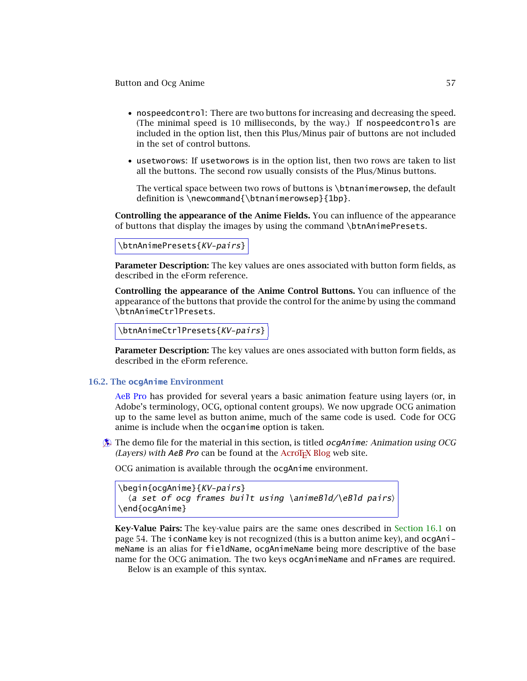- <span id="page-56-0"></span>• nospeedcontrol: There are two buttons for increasing and decreasing the speed. (The minimal speed is 10 milliseconds, by the way.) If nospeedcontrols are included in the option list, then this Plus/Minus pair of buttons are not included in the set of control buttons.
- usetworows: If usetworows is in the option list, then two rows are taken to list all the buttons. The second row usually consists of the Plus/Minus buttons.

The vertical space between two rows of buttons is \btnanimerowsep, the default definition is \newcommand{\btnanimerowsep}{1bp}.

**Controlling the appearance of the Anime Fields.** You can influence of the appearance of buttons that display the images by using the command \btnAnimePresets.

\btnAnimePresets{KV-pairs}

**Parameter Description:** The key values are ones associated with button form fields, as described in the eForm reference.

**Controlling the appearance of the Anime Control Buttons.** You can influence of the appearance of the buttons that provide the control for the anime by using the command \btnAnimeCtrlPresets.

```
\btnAnimeCtrlPresets{KV-pairs}
```
**Parameter Description:** The key values are ones associated with button form fields, as described in the eForm reference.

### **16.2. The ocgAnime Environment**

AeB Pro has provided for several years a basic animation feature using layers (or, in Adobe's terminology, OCG, optional content groups). We now upgrade OCG animation up to the same level as button anime, much of the same code is used. Code for OCG anime is include when the ocganime option is taken.

b The demo file for the material in this section, is titled ocgAnime*: Animation using OCG (Layers) with AeB Pro* can be found at the AcroT<sub>E</sub>X Blog web site.

OCG animation is available through the ocgAnime environment.

```
\begin{ocgAnime}{KV-pairs}
  \langlea set of ocg frames built using \langleanimeBld\langle\rangleeBld pairs\rangle\end{ocgAnime}
```
**Key-Value Pairs:** The key-value pairs are the same ones described in [Section 16.1](#page-53-0) on page 54. The iconName key is not recognized (this is a button anime key), and ocgAnimeName is an alias for fieldName, ocgAnimeName being more descriptive of the base name for the OCG animation. The two keys ocgAnimeName and nFrames are required. Below is an example of this syntax.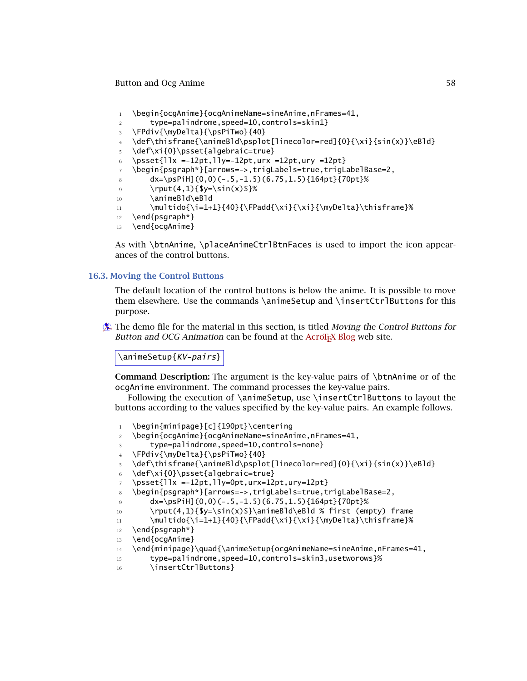```
1 \begin{ocgAnime}{ocgAnimeName=sineAnime,nFrames=41,
```

```
2 type=palindrome,speed=10,controls=skin1}
```
<sup>3</sup> \FPdiv{\myDelta}{\psPiTwo}{40}

```
4 \def\thisframe{\animeBld\psplot[linecolor=red]{0}{\xi}{sin(x)}\eBld}
```

```
5 \def\xi{0}\psset{algebraic=true}
```

```
6 \psset{llx =-12pt,lly=-12pt,urx =12pt,ury =12pt}
```

```
7 \begin{psgraph*}[arrows=->,trigLabels=true,trigLabelBase=2,
```
 $8$  dx=\psPiH](0,0)(-.5,-1.5)(6.75,1.5){164pt}{70pt}%

```
9 \pr{1,1}{\y=\sin(x)}
```

```
10 \animeBld\eBld
```

```
11 \multido{\i=1+1}{40}{\FPadd{\xi}{\xi}{\myDelta}\thisframe}%
```

```
12 \end{psgraph*}
```

```
13 \end{ocgAnime}
```
As with \btnAnime, \placeAnimeCtrlBtnFaces is used to import the icon appearances of the control buttons.

# **16.3. Moving the Control Buttons**

The default location of the control buttons is below the anime. It is possible to move them elsewhere. Use the commands \animeSetup and \insertCtrlButtons for this purpose.

**Example 1.5 The demo file for the material in this section, is titled** *Moving the Control Buttons for Button and OCG Animation* can be found at the AcroT<sub>E</sub>X Blog web site.

\animeSetup{KV-pairs}

**Command Description:** The argument is the key-value pairs of \btnAnime or of the ocgAnime environment. The command processes the key-value pairs.

Following the execution of \animeSetup, use \insertCtrlButtons to layout the buttons according to the values specified by the key-value pairs. An example follows.

```
1 \begin{minipage}[c]{190pt}\centering
```

```
2 \begin{ocgAnime}{ocgAnimeName=sineAnime,nFrames=41,
```

```
3 type=palindrome,speed=10,controls=none}
```
<sup>4</sup> \FPdiv{\myDelta}{\psPiTwo}{40}

```
5 \def\thisframe{\animeBld\psplot[linecolor=red]{0}{\xi}{sin(x)}\eBld}
```
- <sup>6</sup> \def\xi{0}\psset{algebraic=true}
- $7 \ \text{psset}$ {llx =-12pt,lly=0pt,urx=12pt,ury=12pt}
- <sup>8</sup> \begin{psgraph\*}[arrows=->,trigLabels=true,trigLabelBase=2,
- 9  $dx=[p\sinh](0,0)(-.5,-1.5)(6.75,1.5){164pt}{70pt}$
- 10 \rput(4,1){\$y=\sin(x)\$}\animeBld\eBld % first (empty) frame
- 11 \multido{\i=1+1}{40}{\FPadd{\xi}{\xi}{\myDelta}\thisframe}%

```
12 \end{psgraph*}
```

```
13 \end{ocgAnime}
```

```
14 \end{minipage}\quad{\animeSetup{ocgAnimeName=sineAnime,nFrames=41,
```
- <sup>15</sup> type=palindrome,speed=10,controls=skin3,usetworows}%
- 16 \insertCtrlButtons}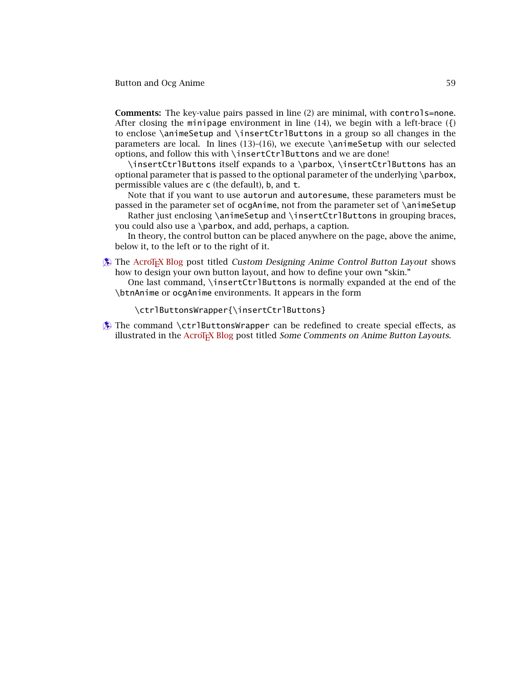**Comments:** The key-value pairs passed in line (2) are minimal, with controls=none. After closing the minipage environment in line  $(14)$ , we begin with a left-brace  $({})$ to enclose \animeSetup and \insertCtrlButtons in a group so all changes in the parameters are local. In lines  $(13)$ – $(16)$ , we execute  $\$ animeSetup with our selected options, and follow this with \insertCtrlButtons and we are done!

\insertCtrlButtons itself expands to a \parbox, \insertCtrlButtons has an optional parameter that is passed to the optional parameter of the underlying \parbox, permissible values are c (the default), b, and t.

Note that if you want to use autorun and autoresume, these parameters must be passed in the parameter set of ocgAnime, not from the parameter set of \animeSetup

Rather just enclosing \animeSetup and \insertCtrlButtons in grouping braces, you could also use a \parbox, and add, perhaps, a caption.

In theory, the control button can be placed anywhere on the page, above the anime, below it, to the left or to the right of it.

- <sup>b</sup> The [AcroTEX Blog](http://www.acrotex.net/blog) post titled *Custom Designing Anime Control Button Layout* shows how to design your own button layout, and how to define your own "skin."
	- One last command, \insertCtrlButtons is normally expanded at the end of the \btnAnime or ocgAnime environments. It appears in the form

\ctrlButtonsWrapper{\insertCtrlButtons}

 $\circledast$  The command \ctrlButtonsWrapper can be redefined to create special effects, as illustrated in the [AcroTEX Blog](http://www.acrotex.net/blog) post titled *Some Comments on Anime Button Layouts*.